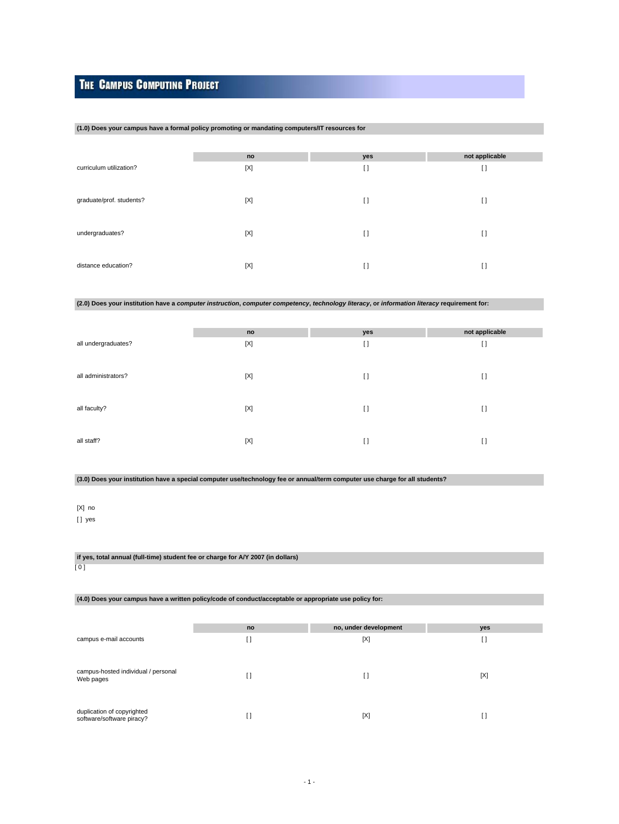# **THE CAMPUS COMPUTING PROJECT**

### **(1.0) Does your campus have a formal policy promoting or mandating computers/IT resources for**

|                          | no  | yes            | not applicable |
|--------------------------|-----|----------------|----------------|
| curriculum utilization?  | [X] | $\lceil$       | $[ \ ]$        |
| graduate/prof. students? | [X] | $\lceil$       | $[ \ ]$        |
| undergraduates?          | [X] | $[ \ ]$        | H              |
| distance education?      | [X] | $\mathfrak{g}$ | $\mathfrak{g}$ |

# **(2.0) Does your institution have a computer instruction, computer competency, technology literacy, or information literacy requirement for:**

|                     | no          | yes      | not applicable |
|---------------------|-------------|----------|----------------|
| all undergraduates? | $[{\sf X}]$ | $\lceil$ | $[ \ ]$        |
|                     |             |          |                |
|                     |             |          |                |
| all administrators? | [X]         | $\lceil$ | $\lceil$       |
|                     |             |          |                |
| all faculty?        | [X]         | $\lceil$ | $[ \ ]$        |
|                     |             |          |                |
|                     |             |          |                |
| all staff?          | [X]         | $\lceil$ | $[ \ ]$        |
|                     |             |          |                |

# **(3.0) Does your institution have a special computer use/technology fee or annual/term computer use charge for all students?**

# [X] no

[ ] yes

# **if yes, total annual (full-time) student fee or charge for A/Y 2007 (in dollars)**

[ 0 ]

## **(4.0) Does your campus have a written policy/code of conduct/acceptable or appropriate use policy for:**

|                                                         | no  | no, under development | yes |
|---------------------------------------------------------|-----|-----------------------|-----|
| campus e-mail accounts                                  | i I | [X]                   | IJ  |
|                                                         |     |                       |     |
| campus-hosted individual / personal<br>Web pages        |     | IJ                    | [X] |
| duplication of copyrighted<br>software/software piracy? |     | [X]                   |     |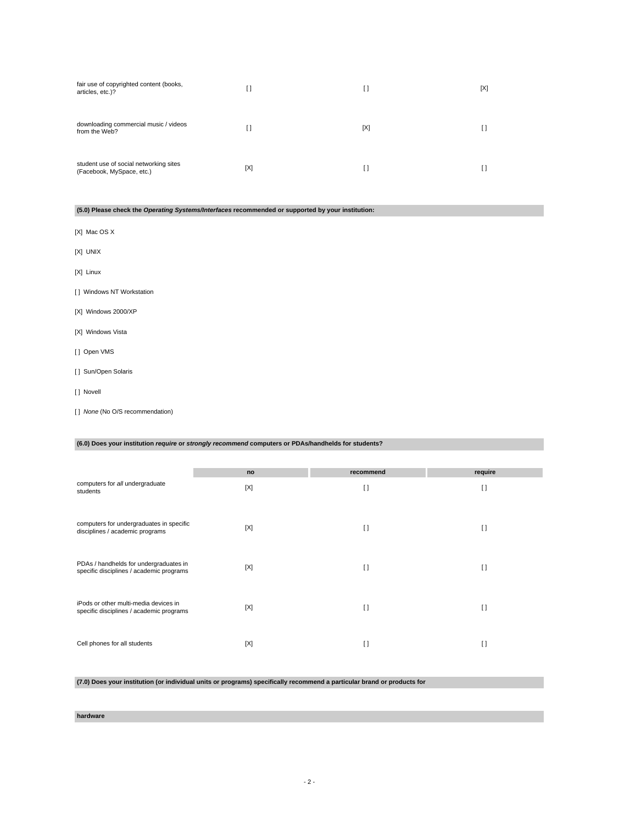| fair use of copyrighted content (books,<br>articles, etc.)?         | []  | I)  | [X] |
|---------------------------------------------------------------------|-----|-----|-----|
| downloading commercial music / videos<br>from the Web?              | H   | [X] |     |
| student use of social networking sites<br>(Facebook, MySpace, etc.) | [X] | I)  |     |

# **(5.0) Please check the Operating Systems/Interfaces recommended or supported by your institution:**

- [X] Mac OS X
- [X] UNIX
- [X] Linux
- [ ] Windows NT Workstation
- [X] Windows 2000/XP
- [X] Windows Vista
- [ ] Open VMS
- [ ] Sun/Open Solaris
- [] Novell
- [ ] None (No O/S recommendation)

## **(6.0) Does your institution require or strongly recommend computers or PDAs/handhelds for students?**

|                                                                                    | no  | recommend | require |
|------------------------------------------------------------------------------------|-----|-----------|---------|
| computers for all undergraduate<br>students                                        | [X] | I)        | I1      |
| computers for undergraduates in specific<br>disciplines / academic programs        | [X] | $\Box$    | $\Box$  |
| PDAs / handhelds for undergraduates in<br>specific disciplines / academic programs | [X] | I)        | I)      |
| iPods or other multi-media devices in<br>specific disciplines / academic programs  | [X] | I)        | I)      |
| Cell phones for all students                                                       | [X] | []        | I)      |

# **(7.0) Does your institution (or individual units or programs) specifically recommend a particular brand or products for**

**hardware**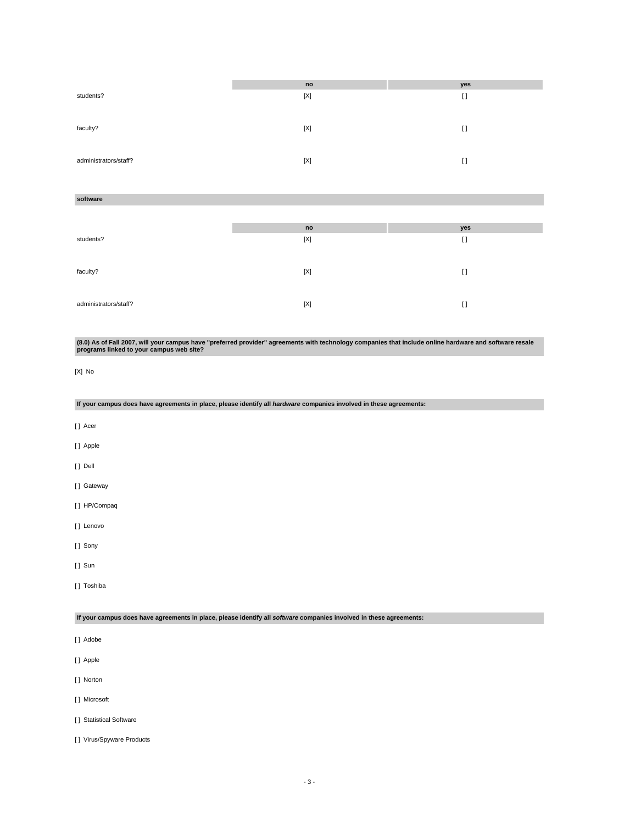|                       | no  | yes     |
|-----------------------|-----|---------|
| students?             | [X] | $[ \ ]$ |
|                       |     |         |
| faculty?              | [X] | []      |
|                       |     |         |
|                       |     |         |
| administrators/staff? | [X] | I)      |

### **software**

|                       | no          | yes     |
|-----------------------|-------------|---------|
| students?             | $[{\sf X}]$ | $[ \ ]$ |
|                       |             |         |
|                       |             |         |
| faculty?              | [X]         | I)      |
|                       |             |         |
|                       |             |         |
| administrators/staff? | [X]         | $\Box$  |

**(8.0) As of Fall 2007, will your campus have "preferred provider" agreements with technology companies that include online hardware and software resale programs linked to your campus web site?**

```
[X] No
```
**If your campus does have agreements in place, please identify all hardware companies involved in these agreements:**

- [ ] Acer
- [ ] Apple
- [ ] Dell
- [ ] Gateway
- [ ] HP/Compaq
- [ ] Lenovo
- [] Sony
- [ ] Sun
- [ ] Toshiba

**If your campus does have agreements in place, please identify all software companies involved in these agreements:**

- [ ] Adobe
- [ ] Apple
- [ ] Norton
- [ ] Microsoft
- [] Statistical Software
- [] Virus/Spyware Products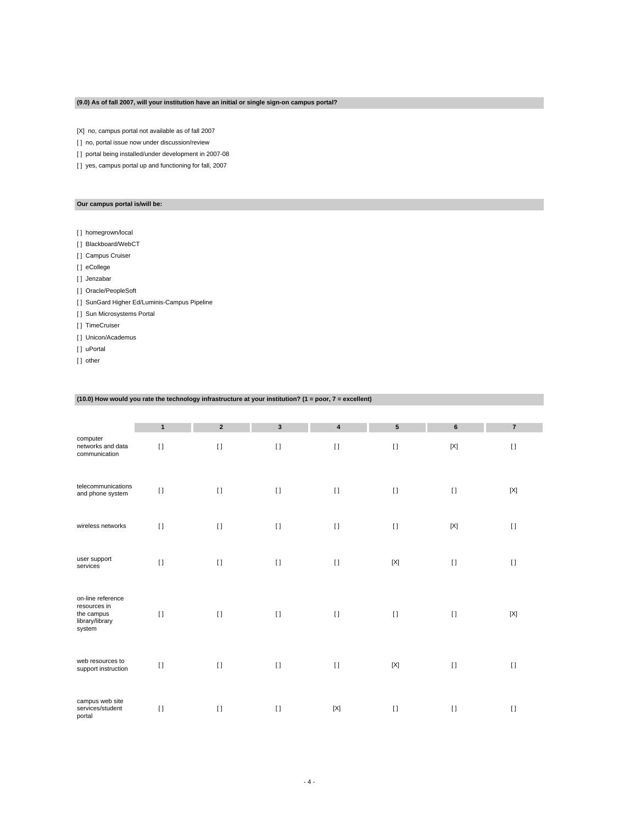## **(9.0) As of fall 2007, will your institution have an initial or single sign-on campus portal?**

[X] no, campus portal not available as of fall 2007

[] no, portal issue now under discussion/review

[] portal being installed/under development in 2007-08

[] yes, campus portal up and functioning for fall, 2007

### **Our campus portal is/will be:**

- [] homegrown/local
- [] Blackboard/WebCT
- [ ] Campus Cruiser

[ ] eCollege

- [] Jenzabar
- [] Oracle/PeopleSoft
- [] SunGard Higher Ed/Luminis-Campus Pipeline
- [ ] Sun Microsystems Portal
- [ ] TimeCruiser
- [ ] Unicon/Academus
- [ ] uPortal
- [] other

### **(10.0) How would you rate the technology infrastructure at your institution? (1 = poor, 7 = excellent)**

|                                                                              | $\mathbf{1}$ | $\overline{2}$ | $\mathbf{3}$ | $\overline{\mathbf{4}}$ | 5            | 6           | $\overline{7}$ |
|------------------------------------------------------------------------------|--------------|----------------|--------------|-------------------------|--------------|-------------|----------------|
| computer<br>networks and data<br>communication                               | $\mathbf{I}$ | $\mathbf{I}$   | $[ \; ]$     | $[ \; ]$                | $\mathbf{I}$ | $[{\sf X}]$ | $\mathbf{I}$   |
| telecommunications<br>and phone system                                       | $\mathbf{I}$ | $\mathbf{I}$   | $[ \ ]$      | $[ \ ]$                 | $[ \ ]$      | $[ \ ]$     | $[{\sf X}]$    |
| wireless networks                                                            | $[ \ ]$      | $\mathbf{I}$   | $[ \ ]$      | $[ \ ]$                 | $[ \ ]$      | $[{\sf X}]$ | $[ \ ]$        |
| user support<br>services                                                     | $\mathbf{I}$ | $[ \; ]$       | $[ \ ]$      | $[ \; ]$                | $[{\sf X}]$  | $[ \ ]$     | $[ \; ]$       |
| on-line reference<br>resources in<br>the campus<br>library/library<br>system | $[ \ ]$      | $\mathbf{I}$   | $[ \ ]$      | $[ \ ]$                 | $\Box$       | $[ \ ]$     | [X]            |
| web resources to<br>support instruction                                      | $\mathbf{I}$ | $\mathbf{I}$   | $\lceil$     | $[ \ ]$                 | $[{\sf X}]$  | $[ \ ]$     | $[ \ ]$        |
| campus web site<br>services/student<br>portal                                | $\mathbf{I}$ | $\mathbf{I}$   | $\lceil$     | $[{\sf X}]$             | $\mathbf{I}$ | $[ \ ]$     | $[ \ ]$        |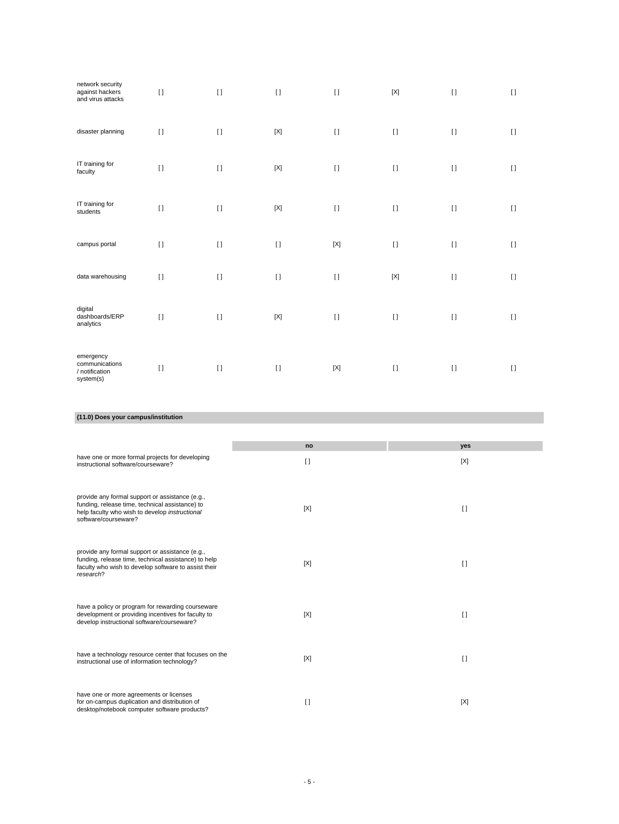| network security<br>against hackers<br>and virus attacks   | $\lceil$ | $\lceil$     | $\lceil$    | $\mathbf{I}$ | [X]          | $[ \ ]$      | $\Box$   |
|------------------------------------------------------------|----------|--------------|-------------|--------------|--------------|--------------|----------|
| disaster planning                                          | $\Box$   | $\lceil$     | $[{\sf X}]$ | $[ \ ]$      | $\mathbf{I}$ | $[ \ ]$      | $\lceil$ |
| IT training for<br>faculty                                 | $[ \ ]$  | $[1]$        | $[{\sf X}]$ | $[ \ ]$      | $\mathbf{I}$ | $[ \; ]$     | $\lceil$ |
| IT training for<br>students                                | $\lceil$ | $\mathbf{I}$ | $[{\sf X}]$ | $[ \ ]$      | $\mathbf{I}$ | $\mathbf{I}$ | $\lceil$ |
| campus portal                                              | $[ \; ]$ | $[ \; ]$     | $[ \ ]$     | $[{\sf X}]$  | $[ \; ]$     | $[ \ ]$      | $[ \ ]$  |
| data warehousing                                           | $\Box$   | $\lceil$     | $\lceil$    | $\lceil$     | $[{\sf X}]$  | $[ \ ]$      | $\lceil$ |
| digital<br>dashboards/ERP<br>analytics                     | $[ \ ]$  | $\lceil$     | $[{\sf X}]$ | $[ \ ]$      | $\mathbf{I}$ | $[ \ ]$      | $\lceil$ |
| emergency<br>communications<br>/ notification<br>system(s) | $\Box$   | $\lceil$     | $[ \ ]$     | $[{\sf X}]$  | $\mathbf{I}$ | $[ \ ]$      | $\Box$   |

# **(11.0) Does your campus/institution**

|                                                                                                                                                                              | no     | yes          |
|------------------------------------------------------------------------------------------------------------------------------------------------------------------------------|--------|--------------|
| have one or more formal projects for developing<br>instructional software/courseware?                                                                                        | $\Box$ | [X]          |
| provide any formal support or assistance (e.g.,<br>funding, release time, technical assistance) to<br>help faculty who wish to develop instructional<br>software/courseware? | [X]    | $\lceil$     |
| provide any formal support or assistance (e.g.,<br>funding, release time, technical assistance) to help<br>faculty who wish to develop software to assist their<br>research? | [X]    | $\Box$       |
| have a policy or program for rewarding courseware<br>development or providing incentives for faculty to<br>develop instructional software/courseware?                        | [X]    | $\mathbf{I}$ |
| have a technology resource center that focuses on the<br>instructional use of information technology?                                                                        | [X]    | $\lceil$     |
| have one or more agreements or licenses<br>for on-campus duplication and distribution of<br>desktop/notebook computer software products?                                     | I)     | [X]          |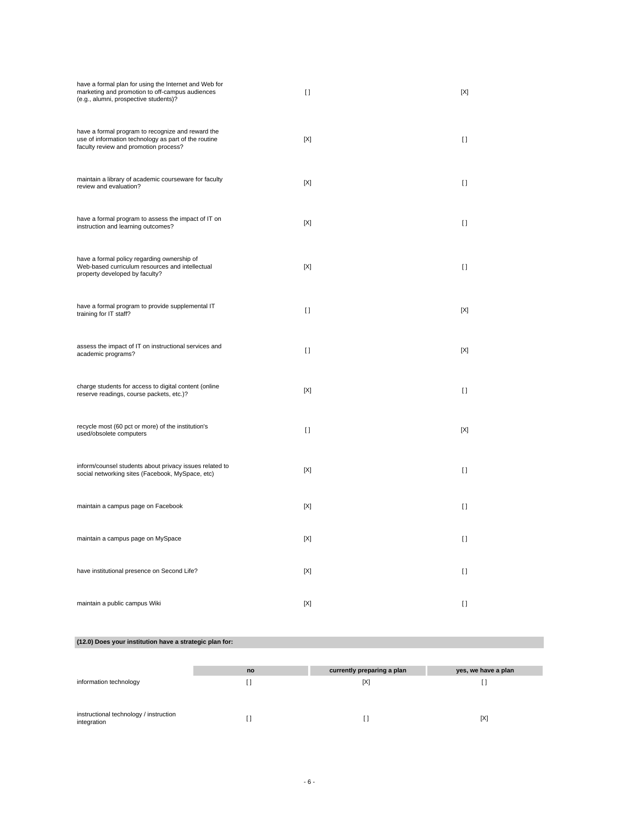| have a formal plan for using the Internet and Web for<br>marketing and promotion to off-campus audiences<br>(e.g., alumni, prospective students)?  | $\Box$         | [X]         |
|----------------------------------------------------------------------------------------------------------------------------------------------------|----------------|-------------|
| have a formal program to recognize and reward the<br>use of information technology as part of the routine<br>faculty review and promotion process? | $[{\sf X}]$    | $[ \ ]$     |
| maintain a library of academic courseware for faculty<br>review and evaluation?                                                                    | [X]            | $\Box$      |
| have a formal program to assess the impact of IT on<br>instruction and learning outcomes?                                                          | [X]            | $[ \ ]$     |
| have a formal policy regarding ownership of<br>Web-based curriculum resources and intellectual<br>property developed by faculty?                   | [X]            | $[ \ ]$     |
| have a formal program to provide supplemental IT<br>training for IT staff?                                                                         | $\mathfrak{g}$ | [X]         |
| assess the impact of IT on instructional services and<br>academic programs?                                                                        | $\Box$         | [X]         |
| charge students for access to digital content (online<br>reserve readings, course packets, etc.)?                                                  | [X]            | $\Box$      |
| recycle most (60 pct or more) of the institution's<br>used/obsolete computers                                                                      | $[ \ ]$        | $[{\sf X}]$ |
| inform/counsel students about privacy issues related to<br>social networking sites (Facebook, MySpace, etc)                                        | [X]            | $\Box$      |
| maintain a campus page on Facebook                                                                                                                 | [X]            | $\Box$      |
| maintain a campus page on MySpace                                                                                                                  | $[{\sf X}]$    | $[ \ ]$     |
| have institutional presence on Second Life?                                                                                                        | $[{\sf X}]$    | $[ \ ]$     |
| maintain a public campus Wiki                                                                                                                      | [X]            | $\Box$      |

# **(12.0) Does your institution have a strategic plan for:**

|                                                       | no | currently preparing a plan | yes, we have a plan |
|-------------------------------------------------------|----|----------------------------|---------------------|
| information technology                                |    | [X]                        |                     |
|                                                       |    |                            |                     |
| instructional technology / instruction<br>integration |    |                            | [X]                 |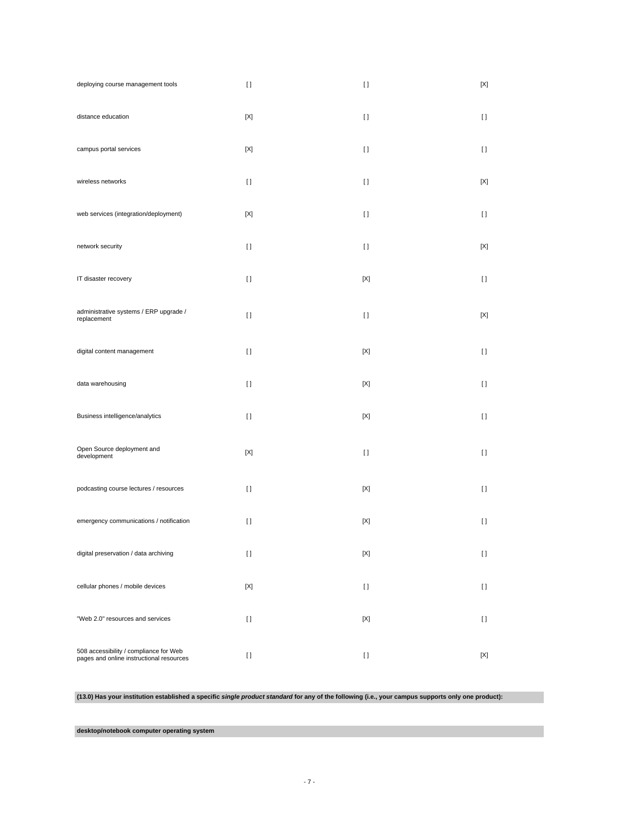| deploying course management tools                                                  | $[ \ ]$     | $[ \; ]$    | [X]          |
|------------------------------------------------------------------------------------|-------------|-------------|--------------|
| distance education                                                                 | $[{\sf X}]$ | $[ \ ]$     | $[ \ ]$      |
| campus portal services                                                             | $[{\sf X}]$ | $[ \; ]$    | $[ \ ]$      |
| wireless networks                                                                  | $[ \ ]$     | $[ \ ]$     | [X]          |
| web services (integration/deployment)                                              | [X]         | $[ \ ]$     | $[ \ ]$      |
| network security                                                                   | $[ \ ]$     | $[ \ ]$     | [X]          |
| IT disaster recovery                                                               | $[ \ ]$     | $[{\sf X}]$ | $[ \ ]$      |
| administrative systems / ERP upgrade /<br>replacement                              | $[ \ ]$     | $[ \ ]$     | [X]          |
| digital content management                                                         | $[ \ ]$     | [X]         | $[ \ ]$      |
| data warehousing                                                                   | $[ \ ]$     | [X]         | $[ \ ]$      |
| Business intelligence/analytics                                                    | $[ \ ]$     | $[{\sf X}]$ | $[ \ ]$      |
| Open Source deployment and<br>development                                          | $[{\sf X}]$ | $[ \ ]$     | $[ \ ]$      |
| podcasting course lectures / resources                                             | $[ \ ]$     | [X]         | $[ \ ]$      |
| emergency communications / notification                                            | $[ \ ]$     | [X]         | $[ \ ]$      |
| digital preservation / data archiving                                              | $[ \ ]$     | $[{\sf X}]$ | $[ \; ]$     |
| cellular phones / mobile devices                                                   | $[{\sf X}]$ | $[ \ ]$     | $\mathbf{I}$ |
| "Web 2.0" resources and services                                                   | $[ \; ]$    | $[{\sf X}]$ | $[ \; ]$     |
| 508 accessibility / compliance for Web<br>pages and online instructional resources | $[ \ ]$     | $[ \; ]$    | [X]          |

**(13.0) Has your institution established a specific single product standard for any of the following (i.e., your campus supports only one product):**

**desktop/notebook computer operating system**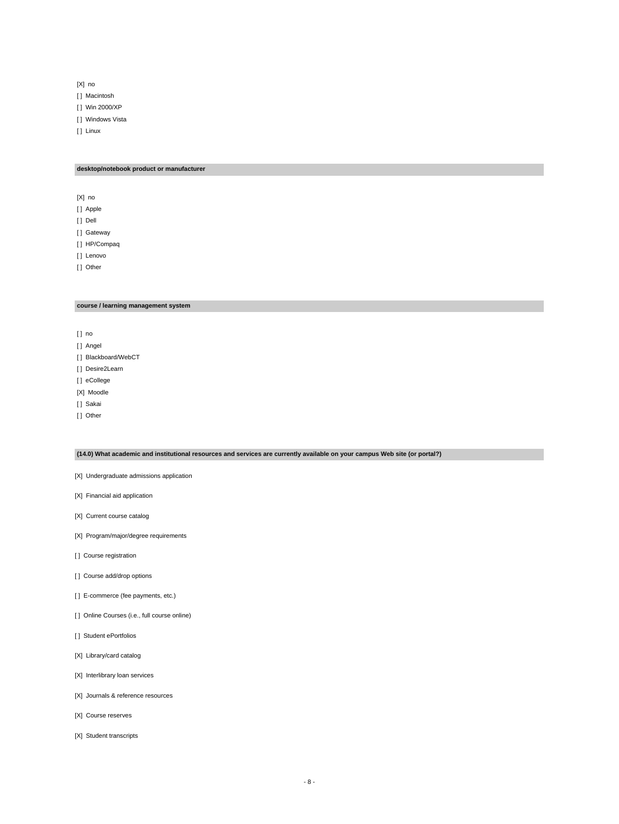[X] no

[ ] Macintosh

- [ ] Win 2000/XP
- [ ] Windows Vista

[ ] Linux

### **desktop/notebook product or manufacturer**

[X] no

[ ] Apple

[ ] Dell

[] Gateway

[ ] HP/Compaq

[ ] Lenovo

[ ] Other

## **course / learning management system**

[ ] no

- [] Angel
- [] Blackboard/WebCT
- [] Desire2Learn
- [] eCollege
- [X] Moodle
- [ ] Sakai
- [ ] Other

### **(14.0) What academic and institutional resources and services are currently available on your campus Web site (or portal?)**

[X] Undergraduate admissions application

- [X] Financial aid application
- [X] Current course catalog
- [X] Program/major/degree requirements
- [ ] Course registration
- [] Course add/drop options
- [ ] E-commerce (fee payments, etc.)
- [ ] Online Courses (i.e., full course online)
- [ ] Student ePortfolios
- [X] Library/card catalog
- [X] Interlibrary loan services
- [X] Journals & reference resources
- [X] Course reserves
- [X] Student transcripts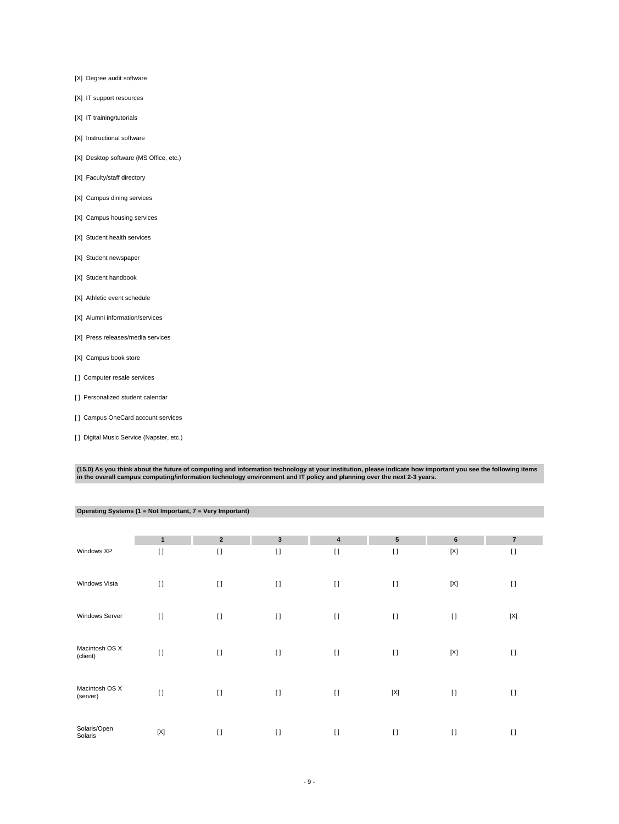- [X] Degree audit software
- [X] IT support resources
- [X] IT training/tutorials
- [X] Instructional software
- [X] Desktop software (MS Office, etc.)
- [X] Faculty/staff directory
- [X] Campus dining services
- [X] Campus housing services
- [X] Student health services
- [X] Student newspaper
- [X] Student handbook
- [X] Athletic event schedule
- [X] Alumni information/services
- [X] Press releases/media services
- [X] Campus book store
- [] Computer resale services
- [] Personalized student calendar
- [] Campus OneCard account services
- [ ] Digital Music Service (Napster, etc.)

**Operating Systems (1 = Not Important, 7 = Very Important)**

(15.0) As you think about the future of computing and information technology at your institution, please indicate how important you see the following items<br>in the overall campus computing/information technology environment

|                            | $\mathbf{1}$ | $\overline{2}$ | $\mathbf{3}$ | $\overline{\mathbf{4}}$ | ${\bf 5}$   | 6           | $\overline{7}$ |
|----------------------------|--------------|----------------|--------------|-------------------------|-------------|-------------|----------------|
| Windows XP                 | $\lceil$     | $\lceil$       | $\lceil$     | $\lceil$                | $\Box$      | $[{\sf X}]$ | $\Box$         |
| Windows Vista              | $\lceil$     | $\lceil$       | $\lceil$     | $\lceil$                | $\lceil$    | $[{\sf X}]$ | $[ \ ]$        |
| Windows Server             | $\lceil$     | $\mathbf{I}$   | $[ \ ]$      | $\lceil$                | $[ \ ]$     | $[ \ ]$     | $[{\sf X}]$    |
| Macintosh OS X<br>(client) | $\lceil$     | $\mathbf{I}$   | $\lceil$     | $\lceil$                | $\lceil$    | $[{\sf X}]$ | $\lceil$       |
| Macintosh OS X<br>(server) | $\lceil$     | $\mathbf{I}$   | $\lceil$     | $\lceil$                | $[{\sf X}]$ | $[ \ ]$     | $\lceil$       |
| Solaris/Open<br>Solaris    | $[{\sf X}]$  | $\lceil$       | $\lceil$     | $\lceil$                | $\lceil$    | $[ \ ]$     | $\lceil$       |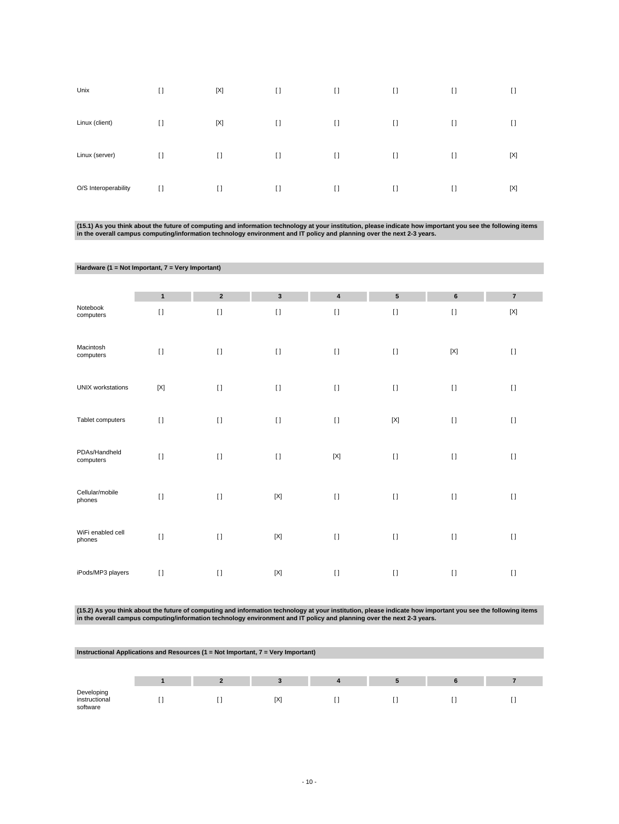| Unix                 | $\lceil$ | $[{\sf X}]$    | $\mathbf{I}$ | $\lceil$ | $\lceil$     | $\lceil$ | $\Box$         |
|----------------------|----------|----------------|--------------|----------|--------------|----------|----------------|
| Linux (client)       | $[ \ ]$  | [X]            | $[ \ ]$      | $\lceil$ | $\mathbf{I}$ | $[ \ ]$  | $\mathfrak{g}$ |
| Linux (server)       | $[ \ ]$  | H              | $[ \ ]$      | $\lceil$ | $\mathbf{I}$ | $[ \ ]$  | [X]            |
| O/S Interoperability | $[ \ ]$  | $\mathfrak{g}$ | $[ \ ]$      | $\lceil$ | $\lceil$     | $[ \ ]$  | [X]            |

(15.1) As you think about the future of computing and information technology at your institution, please indicate how important you see the following items<br>in the overall campus computing/information technology environment

| Hardware (1 = Not Important, 7 = Very Important) |                           |             |                         |                           |                 |                |                           |
|--------------------------------------------------|---------------------------|-------------|-------------------------|---------------------------|-----------------|----------------|---------------------------|
|                                                  |                           |             |                         |                           |                 |                |                           |
|                                                  | $\mathbf{1}$              | $\mathbf 2$ | $\overline{\mathbf{3}}$ | $\overline{\mathbf{4}}$   | $5\phantom{.0}$ | $6\phantom{1}$ | $\overline{\mathbf{z}}$   |
| Notebook<br>computers                            | $[ \; ]$                  | $[ \; ]$    | $[ \; ]$                | $[ \; ]$                  | $\mathbf{I}$    | $[ \; ]$       | $\left[ \text{X} \right]$ |
| Macintosh<br>computers                           | $[ \ ]$                   | $\lceil$    | $[ \ ]$                 | $[ \ ]$                   | $\mathbf{I}$    | $[{\sf X}]$    | $[ \; ]$                  |
| <b>UNIX</b> workstations                         | $\left[ \text{X} \right]$ | $[ \; ]$    | $[ \ ]$                 | $[ \ ]$                   | $[ \; ]$        | $[ \ ]$        | $[ \; ]$                  |
| Tablet computers                                 | $[ \; ]$                  | $\lceil$    | $\lceil$                | $[ \ ]$                   | $[{\sf X}]$     | $[1]$          | $[ \ ]$                   |
| PDAs/Handheld<br>computers                       | $[ \ ]$                   | $\lceil$    | $[ \ ]$                 | $\left[ \text{X} \right]$ | $\mathbf{I}$    | $[ \; ]$       | $[ \ ]$                   |
| Cellular/mobile<br>phones                        | $[ \ ]$                   | $\lceil$    | $[{\sf X}]$             | $\lceil$                  | $\mathbf{I}$    | $\lceil$       | $[ \ ]$                   |
| WiFi enabled cell<br>phones                      | $[ \ ]$                   | $\lceil$    | $[{\sf X}]$             | $[ \ ]$                   | $[ \ ]$         | $[ \ ]$        | $[ \ ]$                   |
| iPods/MP3 players                                | $\mathbf{I}$              | $\lceil$    | $[{\sf X}]$             | $[ \ ]$                   | $[ \ ]$         | $[ \ ]$        | $[ \ ]$                   |

(15.2) As you think about the future of computing and information technology at your institution, please indicate how important you see the following items<br>in the overall campus computing/information technology environment

| Instructional Applications and Resources ( $1 = Not$ Important, $7 = Very$ Important) |  |  |     |  |  |  |  |
|---------------------------------------------------------------------------------------|--|--|-----|--|--|--|--|
|                                                                                       |  |  |     |  |  |  |  |
|                                                                                       |  |  |     |  |  |  |  |
| Developing<br>instructional<br>software                                               |  |  | [X] |  |  |  |  |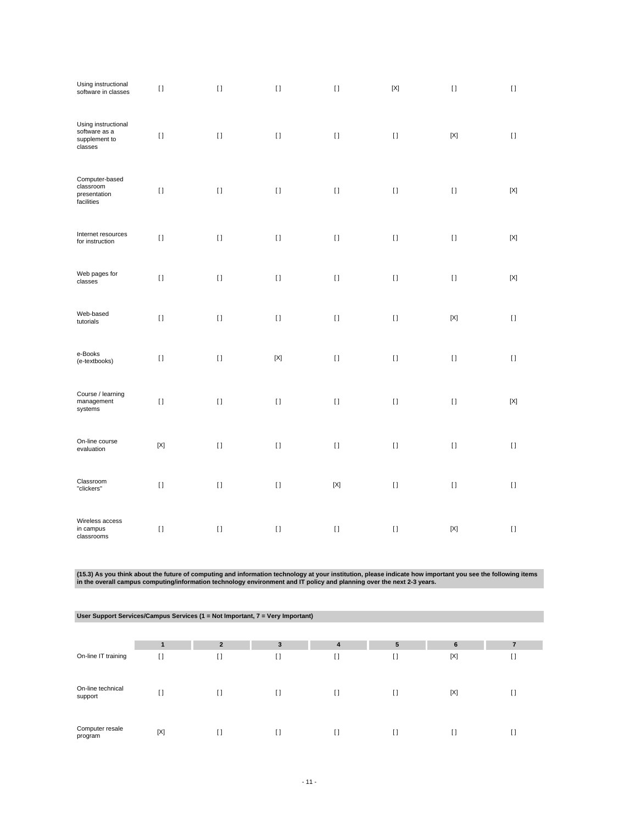| Using instructional<br>software in classes                       | $[ \ ]$     | $[ \ ]$                                | $[ \; ]$    | $[ \ ]$     | $[{\sf X}]$ | $[ \ ]$     | $\left[ \ \right]$ |
|------------------------------------------------------------------|-------------|----------------------------------------|-------------|-------------|-------------|-------------|--------------------|
| Using instructional<br>software as a<br>supplement to<br>classes | $[ \ ]$     | $[ \; ]$                               | $[ \; ]$    | $[ \; ]$    | $[ \ ]$     | $[{\sf X}]$ | $[ \; ]$           |
| Computer-based<br>classroom<br>presentation<br>facilities        | $[ \ ]$     | $[ \; ]$                               | $[ \ ]$     | $[ \; ]$    | $[ \; ]$    | $[ \; ]$    | $[{\sf X}]$        |
| Internet resources<br>for instruction                            | $[ \; ]$    | $[ \ ]$                                | $[ \ ]$     | $[ \ ]$     | $[ \ ]$     | $[ \ ]$     | $[{\sf X}]$        |
| Web pages for<br>classes                                         | $[ \ ]$     | $[ \; ]$                               | $[ \; ]$    | $[ \; ]$    | $[ \; ]$    | $[ \; ]$    | $[{\sf X}]$        |
| Web-based<br>tutorials                                           | $[ \ ]$     | $\begin{array}{c} \square \end{array}$ | $[ \ ]$     | $[ \; ]$    | $[ \ ]$     | $[{\sf X}]$ | $[ \; ]$           |
| e-Books<br>(e-textbooks)                                         | $[ \; ]$    | $[ \; ]$                               | $[{\sf X}]$ | $[ \; ]$    | $[ \ ]$     | $[ \ ]$     | $[ \ ]$            |
| Course / learning<br>management<br>systems                       | $[ \ ]$     | $\rm II$                               | $[ \; ]$    | $[ \ ]$     | $[ \; ]$    | $[ \, ]$    | $[{\sf X}]$        |
| On-line course<br>evaluation                                     | $[{\sf X}]$ | $[ \ ]$                                | $[ \ ]$     | $[ \ ]$     | $[ \ ]$     | $[ \ ]$     | $[ \; ]$           |
| Classroom<br>"clickers"                                          | $\lceil$    | $[ \ ]$                                | $[ \ ]$     | $[{\sf X}]$ | $[ \ ]$     | $[ \; ]$    | $[ \ ]$            |
| Wireless access<br>in campus<br>classrooms                       | $[ \ ]$     | $[ \ ]$                                | $[ \; ]$    | $[ \ ]$     | $\lceil$    | $[{\sf X}]$ | $[ \ ]$            |

(15.3) As you think about the future of computing and information technology at your institution, please indicate how important you see the following items<br>in the overall campus computing/information technology environment

| User Support Services/Campus Services (1 = Not Important, $7$ = Very Important) |        |                |        |        |        |        |    |  |
|---------------------------------------------------------------------------------|--------|----------------|--------|--------|--------|--------|----|--|
|                                                                                 |        |                |        |        |        |        |    |  |
|                                                                                 |        | $\overline{2}$ | 3      | 4      | 5      | 6      |    |  |
| On-line IT training                                                             | $\Box$ | $\Box$         | I)     | I1     | $\Box$ | [X]    | I) |  |
| On-line technical<br>support                                                    | I)     | $\Box$         | $\Box$ | $\Box$ | H      | [X]    | [] |  |
| Computer resale<br>program                                                      | [X]    | H              | I)     | []     | []     | $\Box$ | [] |  |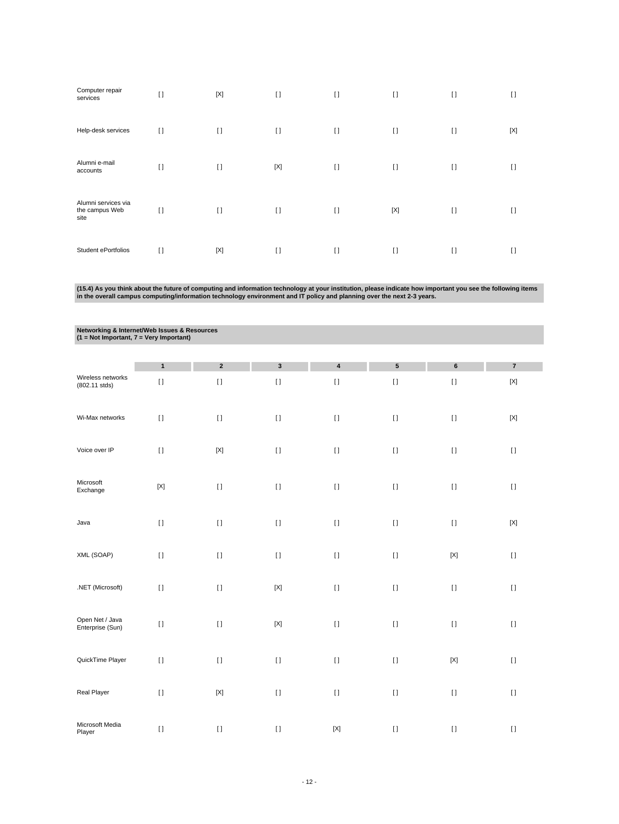| Computer repair<br>services                   | $\mathbf{I}$   | $[{\sf X}]$ | $[ \ ]$     | $\lceil$ | $[ \ ]$      | $[ \ ]$  | $\lceil$ |
|-----------------------------------------------|----------------|-------------|-------------|----------|--------------|----------|----------|
| Help-desk services                            | $[ \ ]$        | $\lceil$    | $[ \ ]$     | $\lceil$ | $[ \ ]$      | $\lceil$ | [X]      |
| Alumni e-mail<br>accounts                     | $\mathfrak{g}$ | $[ \ ]$     | $[{\sf X}]$ | $\lceil$ | $[ \ ]$      | $[ \ ]$  | $\lceil$ |
| Alumni services via<br>the campus Web<br>site | $\Box$         | $\lceil$    | $[ \ ]$     | $\lceil$ | [X]          | $[ \ ]$  | $\Box$   |
| Student ePortfolios                           | I)             | [X]         | $[ \ ]$     | $\lceil$ | $\mathbf{I}$ | $[ ]$    | I)       |

(15.4) As you think about the future of computing and information technology at your institution, please indicate how important you see the following items<br>in the overall campus computing/information technology environment

**Networking & Internet/Web Issues & Resources (1 = Not Important, 7 = Very Important)**

|                                      | $\mathbf{1}$ | $\boldsymbol{2}$ | $\mathbf 3$ | 4                                      | ${\bf 5}$ | $\bf 6$                   | $\bf 7$     |
|--------------------------------------|--------------|------------------|-------------|----------------------------------------|-----------|---------------------------|-------------|
| Wireless networks<br>$(802.11$ stds) | $[ \ ]$      | $[ \ ]$          | $[ \ ]$     | $[ \; ]$                               | $[ \; ]$  | $[ \; ]$                  | $[{\sf X}]$ |
| Wi-Max networks                      | $[ \; ]$     | $[ \; ]$         | $[ \ ]$     | $\begin{array}{c} \square \end{array}$ | $[ \ ]$   | $[ \; ]$                  | $[{\sf X}]$ |
| Voice over IP                        | $[ \; ]$     | $[{\sf X}]$      | $[ \ ]$     | $[ \; ]$                               | $[ \ ]$   | $[ \; ]$                  | $[ \ ]$     |
| Microsoft<br>Exchange                | $[{\sf X}]$  | $[ \; ]$         | $[ \ ]$     | $[ \; ]$                               | $[ \ ]$   | $[ \; ]$                  | $[ \; ]$    |
| Java                                 | $[ \; ]$     | $[ \; ]$         | $[ \ ]$     | $[ \; ]$                               | $[ \ ]$   | $[ \; ]$                  | $[{\sf X}]$ |
| XML (SOAP)                           | $[ \; ]$     | $[ \; ]$         | $[ \ ]$     | $[ \ ]$                                | $[ \; ]$  | $\left[ \text{X} \right]$ | $[ \ ]$     |
| .NET (Microsoft)                     | $[ \; ]$     | $[ \; ]$         | $[{\sf X}]$ | $[ \ ]$                                | $[ \ ]$   | $[ \; ]$                  | $[ \; ]$    |
| Open Net / Java<br>Enterprise (Sun)  | $[ \ ]$      | $[ \; ]$         | $[{\sf X}]$ | $[ \; ]$                               | $[ \ ]$   | $[ \; ]$                  | $[ \; ]$    |
| QuickTime Player                     | $[ \ ]$      | $[ \; ]$         | $[ \; ]$    | $[ \; ]$                               | $[ \ ]$   | $\left[ \text{X} \right]$ | $[ \; ]$    |
| Real Player                          | $[ \; ]$     | $[{\sf X}]$      | $[ \ ]$     | $[ \; ]$                               | $[ \; ]$  | $[ \ ]$                   | $[ \ ]$     |
| Microsoft Media<br>Player            | $[ \; ]$     | $[ \; ]$         | $[ \ ]$     | $[{\sf X}]$                            | $[ \ ]$   | $[ \; ]$                  | $[ \; ]$    |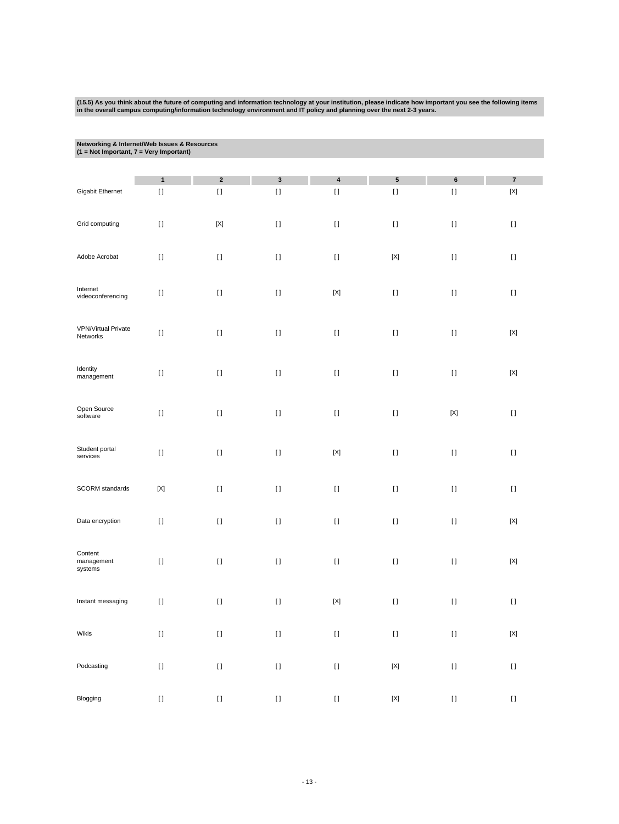(15.5) As you think about the future of computing and information technology at your institution, please indicate how important you see the following items<br>in the overall campus computing/information technology environment

| Networking & Internet/Web Issues & Resources<br>$(1 = Not Important, 7 = Very Important)$ |                                                                                                                                                                                                       |                                        |              |                      |                                                                                                                                                                                                                                                                                                                                                                                                                                                                                                                    |                                                                                                                                                                                                                                                    |                                      |
|-------------------------------------------------------------------------------------------|-------------------------------------------------------------------------------------------------------------------------------------------------------------------------------------------------------|----------------------------------------|--------------|----------------------|--------------------------------------------------------------------------------------------------------------------------------------------------------------------------------------------------------------------------------------------------------------------------------------------------------------------------------------------------------------------------------------------------------------------------------------------------------------------------------------------------------------------|----------------------------------------------------------------------------------------------------------------------------------------------------------------------------------------------------------------------------------------------------|--------------------------------------|
|                                                                                           |                                                                                                                                                                                                       |                                        |              |                      |                                                                                                                                                                                                                                                                                                                                                                                                                                                                                                                    |                                                                                                                                                                                                                                                    |                                      |
| Gigabit Ethernet                                                                          | $\mathbf{1}$<br>$[ \ ]$                                                                                                                                                                               | $\mathbf 2$<br>$[ \ ]$                 | 3<br>$[ \ ]$ | $\pmb{4}$<br>$[ \ ]$ | $5\phantom{.0}$<br>$[ \ ]$                                                                                                                                                                                                                                                                                                                                                                                                                                                                                         | 6<br>$[ \ ]$                                                                                                                                                                                                                                       | $\bf 7$<br>$\left[ \text{X} \right]$ |
|                                                                                           |                                                                                                                                                                                                       |                                        |              |                      |                                                                                                                                                                                                                                                                                                                                                                                                                                                                                                                    |                                                                                                                                                                                                                                                    |                                      |
| Grid computing                                                                            | $[ \; ]$                                                                                                                                                                                              | $[{\sf X}]$                            | $[ \ ]$      | $[ \; ]$             | $[ \; ]$                                                                                                                                                                                                                                                                                                                                                                                                                                                                                                           | $[ \; ]$                                                                                                                                                                                                                                           | $[ \; ]$                             |
| Adobe Acrobat                                                                             | $[ \; ]$                                                                                                                                                                                              | $[ \ ]$                                | $[ \; ]$     | $[ \; ]$             | $[{\sf X}]$                                                                                                                                                                                                                                                                                                                                                                                                                                                                                                        | $[ \; ]$                                                                                                                                                                                                                                           | $[ \; ]$                             |
| Internet<br>videoconferencing                                                             | $\mathfrak{g}$                                                                                                                                                                                        | $[ \; ]$                               | $[ \ ]$      | $[{\sf X}]$          | $[ \; ]$                                                                                                                                                                                                                                                                                                                                                                                                                                                                                                           | $[ \; ]$                                                                                                                                                                                                                                           | $[ \; ]$                             |
| <b>VPN/Virtual Private</b><br>Networks                                                    | $[ \; ]$                                                                                                                                                                                              | $[ \ ]$                                | $[ \; ]$     | $[ \ ]$              | $[ \ ]$                                                                                                                                                                                                                                                                                                                                                                                                                                                                                                            | $[ \; ]$                                                                                                                                                                                                                                           | $[{\sf X}]$                          |
| Identity<br>management                                                                    | $[ \; ]$                                                                                                                                                                                              | $[ \ ]$                                | $[ \ ]$      | $[ \; ]$             | $[ \; ]$                                                                                                                                                                                                                                                                                                                                                                                                                                                                                                           | $[ \; ]$                                                                                                                                                                                                                                           | $[{\sf X}]$                          |
| Open Source<br>software                                                                   | $[ \: ]$                                                                                                                                                                                              | $[ \ ]$                                | $[ \; ]$     | $[ \; ]$             | $[ \ ]$                                                                                                                                                                                                                                                                                                                                                                                                                                                                                                            | $[{\sf X}]$                                                                                                                                                                                                                                        | $[ \; ]$                             |
| Student portal<br>services                                                                | $[ \; ]$                                                                                                                                                                                              | $[ \ ]$                                | $[ \; ]$     | $[{\sf X}]$          | $[ \ ]$                                                                                                                                                                                                                                                                                                                                                                                                                                                                                                            | $[ \ ]$                                                                                                                                                                                                                                            | $[ \ ]$                              |
| SCORM standards                                                                           | $[{\sf X}]$                                                                                                                                                                                           | $\begin{array}{c} \square \end{array}$ | $[ \; ]$     | $[ \; ]$             | $[ \; ]$                                                                                                                                                                                                                                                                                                                                                                                                                                                                                                           | $[ \; ]$                                                                                                                                                                                                                                           | $[ \ ]$                              |
| Data encryption                                                                           | $[ \ ]$                                                                                                                                                                                               | H                                      | $[ \; ]$     | $\mathbf{I}$         | H                                                                                                                                                                                                                                                                                                                                                                                                                                                                                                                  | $[ \ ]$                                                                                                                                                                                                                                            | $[{\sf X}]$                          |
| Content<br>management<br>systems                                                          | $[ \; ]$                                                                                                                                                                                              | $[ \; ]$                               | $[ \ ]$      | $[ \: ]$             | $[ \; ]$                                                                                                                                                                                                                                                                                                                                                                                                                                                                                                           | $[ \; ]$                                                                                                                                                                                                                                           | $\left[ \text{X} \right]$            |
| Instant messaging                                                                         | $[ \ ]$                                                                                                                                                                                               | $[ \ ]$                                | $[ \; ]$     | $[{\sf X}]$          | $[ \ ]$                                                                                                                                                                                                                                                                                                                                                                                                                                                                                                            | $[ \ ]$                                                                                                                                                                                                                                            | $[ \ ]$                              |
| Wikis                                                                                     | $[] \centering \includegraphics[width=0.47\textwidth]{images/TrDiS-Architecture.png} \caption{The 3D (top) and 4D (bottom) are used for the 3D (bottom) and 3D (bottom).} \label{TrDiS-Architecture}$ | $[ \, ]$                               | $[ \, ]$     | $[ \ ]$              | $[] \centering \subfloat[0]{{\includegraphics[width=0.25\textwidth]{figs/fig10000}}}}% \subfloat[0]{{\includegraphics[width=0.25\textwidth]{figs/fig10000}}}}% \subfloat[0]{{\includegraphics[width=0.25\textwidth]{figs/fig10000}}}}% \subfloat[0]{{\includegraphics[width=0.25\textwidth]{figs/fig1000}}}}% \subfloat[0]{{\includegraphics[width=0.25\textwidth]{figs/fig1000}}}}% \subfloat[0]{{\includegraphics[width=0.25\textwidth]{figs/fig1000}}}}% \subfloat[0]{{\includegraphics[width=0.25\textwidth]{$ | $[] \centering \includegraphics[width=0.47\textwidth]{images/TrDiS-Architecture.png} \caption{The 3D (top) and 4D (bottom) are used for the 3D (bottom) and 3D (bottom) are used for the 3D (bottom) and 3D (bottom).} \label{TrDiS-Architecture}$ | $[{\sf X}]$                          |
| Podcasting                                                                                | $[ \ ]$                                                                                                                                                                                               | $[ \ ]$                                |              | $[ \ ]$              | $[{\sf X}]$                                                                                                                                                                                                                                                                                                                                                                                                                                                                                                        | $[] \centering \includegraphics[width=0.47\textwidth]{images/TrDiS-Architecture.png} \caption{The 3D (top) and 4D (bottom) are used for the 3D (bottom) and 3D (bottom).} \label{TrDiS-Architecture}$                                              | $[ \ ]$                              |
| Blogging                                                                                  | $[ \: ]$                                                                                                                                                                                              | $[ \ ]$                                | $[ \ ]$      | $[ \ ]$              | $[{\sf X}]$                                                                                                                                                                                                                                                                                                                                                                                                                                                                                                        | $[] \centering \includegraphics[width=0.47\textwidth]{images/TrDiS-Architecture.png} \caption{The 3D (top) and 4D (bottom) are used for the 3D (bottom) and 3D (bottom).} \label{TrDiS-Architecture}$                                              | $[ \ ]$                              |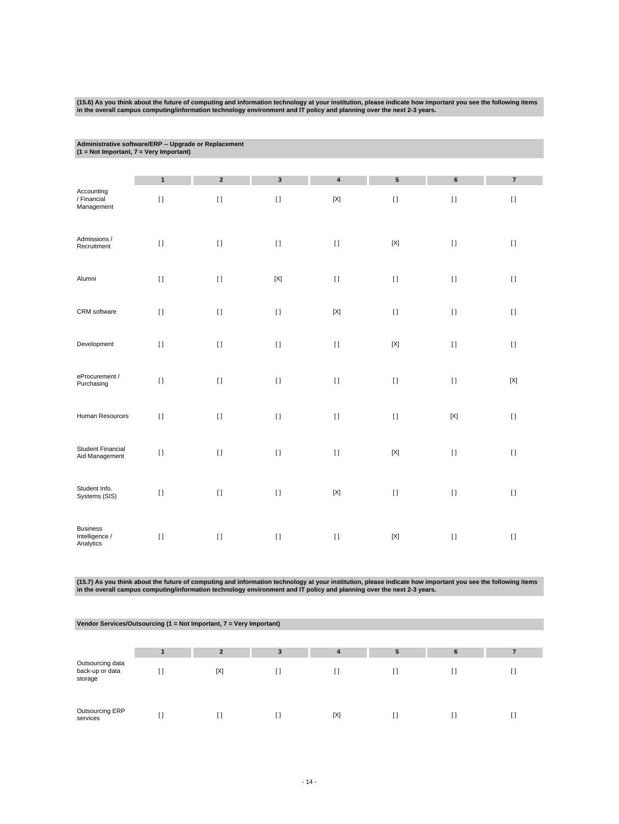| (15.6) As you think about the future of computing and information technology at your institution, please indicate how important you see the following items |
|-------------------------------------------------------------------------------------------------------------------------------------------------------------|
| in the overall campus computing/information technology environment and IT policy and planning over the next 2-3 years.                                      |

| Administrative software/ERP -- Upgrade or Replacement |  |
|-------------------------------------------------------|--|
| $(1 = Not Important, 7 = Very Important)$             |  |

| Accounting                                     | $\mathbf{1}$ | $\mathbf 2$  | $\mathbf{3}$ | $\pmb{4}$   | $5\phantom{.0}$           | $\bf 6$     | $\bf 7$     |
|------------------------------------------------|--------------|--------------|--------------|-------------|---------------------------|-------------|-------------|
| / Financial<br>Management                      | $[ \; ]$     | $[ \ ]$      | $[ \ ]$      | $[{\sf X}]$ | $[ \; ]$                  | $[ \ ]$     | $[ \; ]$    |
| Admissions /<br>Recruitment                    | $[ \ ]$      | $[ \; ]$     | $[ \; ]$     | $[ \; ]$    | $\left[ \text{X} \right]$ | $[ \; ]$    | $[ \; ]$    |
| Alumni                                         | $[ \; ]$     | $[ \; ]$     | $[{\sf X}]$  | $[ \; ]$    | $[ \; ]$                  | $[ \; ]$    | $[ \; ]$    |
| CRM software                                   | $[ \; ]$     | $[ \; ]$     | $[ \ ]$      | $[{\sf X}]$ | $[ \; ]$                  | $[ \; ]$    | $[ \; ]$    |
| Development                                    | $\mathbf{I}$ | $\mathbf{I}$ | $\lceil$     | $[ \ ]$     | $[{\sf X}]$               | $[ \ ]$     | $[ \; ]$    |
| eProcurement /<br>Purchasing                   | $[ \ ]$      | $[ \; ]$     | $[ \; ]$     | $[ \; ]$    | $\mathbf{I}$              | $[ \; ]$    | $[{\sf X}]$ |
| Human Resources                                | $\lceil$     | $[1]$        | $[ \; ]$     | $[ \; ]$    | $\mathbf{I}$              | $[{\sf X}]$ | $[ \; ]$    |
| <b>Student Financial</b><br>Aid Management     | $[ \ ]$      | $[1]$        | $[ \ ]$      | $[ \; ]$    | $[{\sf X}]$               | $[ \; ]$    | $[ \; ]$    |
| Student Info.<br>Systems (SIS)                 | $[ \; ]$     | $[ \; ]$     | $[ \; ]$     | $[{\sf X}]$ | $[ \ ]$                   | $[ \ ]$     | $[ \; ]$    |
| <b>Business</b><br>Intelligence /<br>Analytics | $\lceil$     | $[ \; ]$     | $[ \ ]$      | $[ \; ]$    | $[{\sf X}]$               | $[ \ ]$     | $[ \; ]$    |

(15.7) As you think about the future of computing and information technology at your institution, please indicate how important you see the following items<br>in the overall campus computing/information technology environment

| Vendor Services/Outsourcing $(1 = Not$ Important, $7 = Very$ Important) |  |
|-------------------------------------------------------------------------|--|
|                                                                         |  |

|                                                | $\overline{2}$ | 3 | 4   | 5  | 6 |  |
|------------------------------------------------|----------------|---|-----|----|---|--|
| Outsourcing data<br>back-up or data<br>storage | [X]            |   |     | I) |   |  |
| Outsourcing ERP<br>services                    |                |   | [X] | [] |   |  |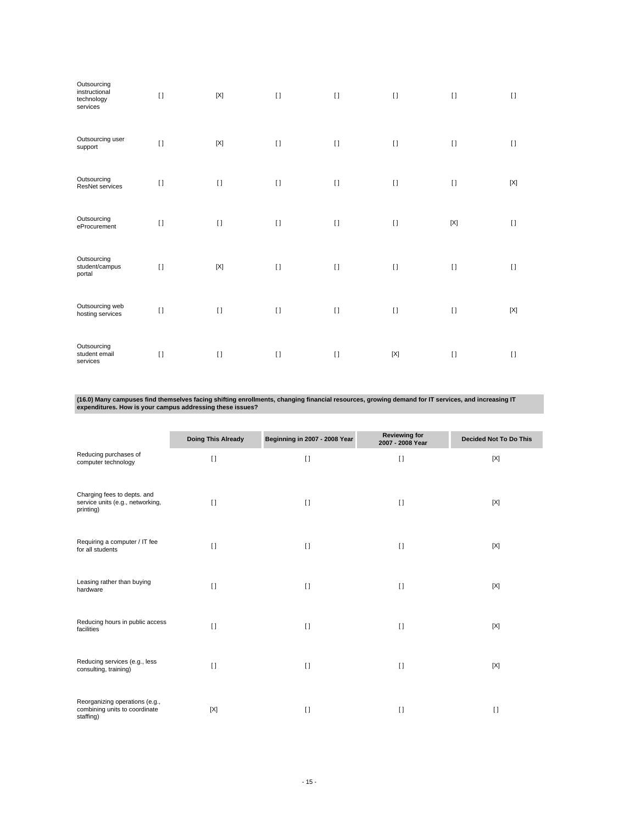| Outsourcing<br>instructional<br>technology<br>services | $\mathbf{I}$ | $[{\sf X}]$  | $\lceil$ | $\lceil$ | $\lceil$     | $[ \ ]$     | $[ \ ]$ |
|--------------------------------------------------------|--------------|--------------|----------|----------|--------------|-------------|---------|
| Outsourcing user<br>support                            | $[ \; ]$     | $[{\sf X}]$  | $[ \ ]$  | $\lceil$ | $\mathbf{I}$ | $[ \ ]$     | $[ \ ]$ |
| Outsourcing<br>ResNet services                         | $\mathbf{I}$ | $\lceil$     | $[ \ ]$  | $[ \ ]$  | $[ \ ]$      | $[ \ ]$     | [X]     |
| Outsourcing<br>eProcurement                            | $\mathbf{I}$ | $\lceil$     | $[ \ ]$  | $[ \ ]$  | $[ \ ]$      | $[{\sf X}]$ | $\Box$  |
| Outsourcing<br>student/campus<br>portal                | $\mathbf{I}$ | $[{\sf X}]$  | $[ \ ]$  | $\lceil$ | $[ \; ]$     | $[ \ ]$     | $\Box$  |
| Outsourcing web<br>hosting services                    | $[ \; ]$     | $\lceil$     | $[ \ ]$  | $[ \ ]$  | $\mathbf{I}$ | $[ \ ]$     | [X]     |
| Outsourcing<br>student email<br>services               | $\mathbf{I}$ | $\mathbf{I}$ | $[ \ ]$  | $[ \ ]$  | $[{\sf X}]$  | $\lceil$    | $\Box$  |

**(16.0) Many campuses find themselves facing shifting enrollments, changing financial resources, growing demand for IT services, and increasing IT expenditures. How is your campus addressing these issues?**

|                                                                              | <b>Doing This Already</b> | Beginning in 2007 - 2008 Year | <b>Reviewing for</b><br>2007 - 2008 Year | <b>Decided Not To Do This</b> |
|------------------------------------------------------------------------------|---------------------------|-------------------------------|------------------------------------------|-------------------------------|
| Reducing purchases of<br>computer technology                                 | $\Box$                    | $\Box$                        | $\lceil$                                 | [X]                           |
| Charging fees to depts. and<br>service units (e.g., networking,<br>printing) | $\Box$                    | $\Box$                        | $\Box$                                   | [X]                           |
| Requiring a computer / IT fee<br>for all students                            | $\Box$                    | $\Box$                        | $\lceil$                                 | [X]                           |
| Leasing rather than buying<br>hardware                                       | $\Box$                    | $\Box$                        | $\lceil$                                 | [X]                           |
| Reducing hours in public access<br>facilities                                | $\Box$                    | $\Box$                        | $\lceil$                                 | [X]                           |
| Reducing services (e.g., less<br>consulting, training)                       | $\mathbf{I}$              | $\lceil$                      | $\lceil$                                 | [X]                           |
| Reorganizing operations (e.g.,<br>combining units to coordinate<br>staffing) | [X]                       | $\lceil$                      | $\lceil$                                 | $\lceil$                      |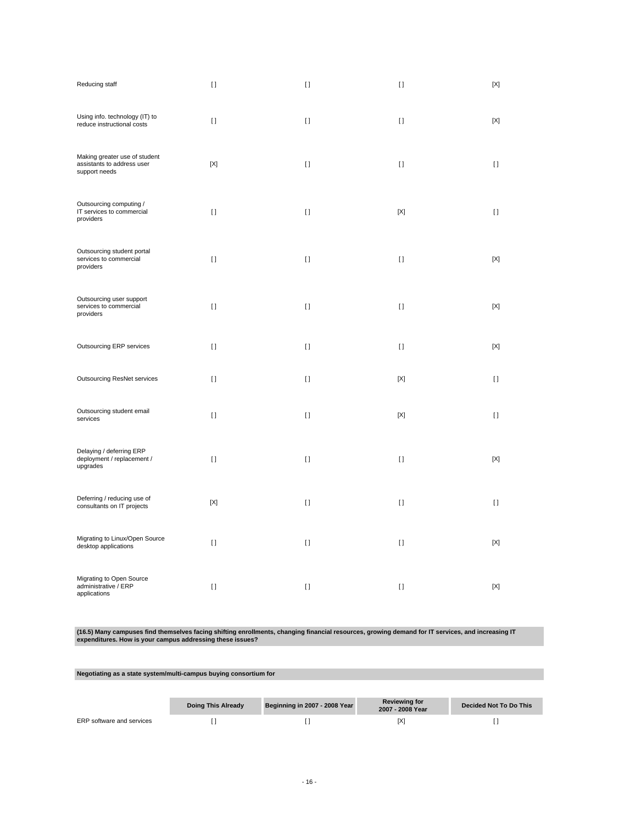| Reducing staff                                                               | $\Box$       | $[ \ ]$      | $[ \ ]$      | $[{\sf X}]$ |
|------------------------------------------------------------------------------|--------------|--------------|--------------|-------------|
| Using info. technology (IT) to<br>reduce instructional costs                 | $\mathbf{I}$ | $[ \ ]$      | $[ \ ]$      | $[{\sf X}]$ |
| Making greater use of student<br>assistants to address user<br>support needs | [X]          | $\mathbf{I}$ | $\mathbf{I}$ | $[ \ ]$     |
| Outsourcing computing /<br>IT services to commercial<br>providers            | $\mathbf{I}$ | $[ \ ]$      | $[{\sf X}]$  | $[ \ ]$     |
| Outsourcing student portal<br>services to commercial<br>providers            | $[ \ ]$      | $[ \ ]$      | $[ \ ]$      | $[{\sf X}]$ |
| Outsourcing user support<br>services to commercial<br>providers              | $\mathbf{I}$ | $[ \ ]$      | $[ \ ]$      | $[{\sf X}]$ |
| Outsourcing ERP services                                                     | $\mathbf{I}$ | $[ \ ]$      | $[ \ ]$      | $[{\sf X}]$ |
| <b>Outsourcing ResNet services</b>                                           | $[ \ ]$      | $[ \ ]$      | $[{\sf X}]$  | $[ \ ]$     |
| Outsourcing student email<br>services                                        | $\mathbf{I}$ | $\mathbf{I}$ | $[{\sf X}]$  | $[ \ ]$     |
| Delaying / deferring ERP<br>deployment / replacement /<br>upgrades           | $\lceil$     | $[ \ ]$      | $[ \ ]$      | [X]         |
| Deferring / reducing use of<br>consultants on IT projects                    | [X]          | $[ \ ]$      | $[ \ ]$      | $[ \ ]$     |
| Migrating to Linux/Open Source<br>desktop applications                       | $[ \ ]$      | $[ \ ]$      | $[ \ ]$      | [X]         |
| Migrating to Open Source<br>administrative / ERP<br>applications             | $[ \ ]$      | $[ \ ]$      | $[ \ ]$      | $[{\sf X}]$ |

**(16.5) Many campuses find themselves facing shifting enrollments, changing financial resources, growing demand for IT services, and increasing IT expenditures. How is your campus addressing these issues?**

## **Negotiating as a state system/multi-campus buying consortium for**

|                           | Doing This Already | Beginning in 2007 - 2008 Year | <b>Reviewing for</b><br>2007 - 2008 Year | Decided Not To Do This |
|---------------------------|--------------------|-------------------------------|------------------------------------------|------------------------|
| ERP software and services |                    |                               |                                          |                        |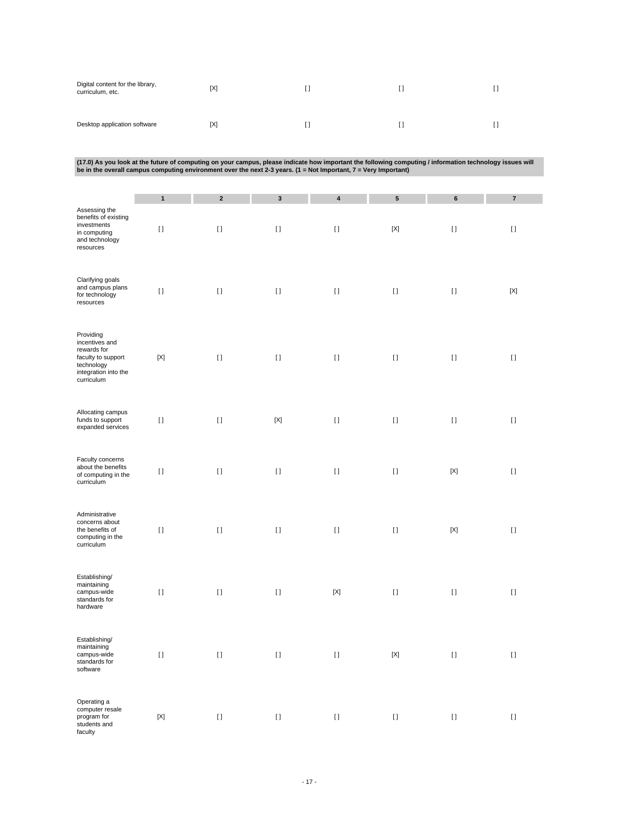| Digital content for the library,<br>curriculum, etc. | [X] |  |  |
|------------------------------------------------------|-----|--|--|
| Desktop application software                         | [X] |  |  |

| (17.0) As you look at the future of computing on your campus, please indicate how important the following computing / information technology issues will |  |
|----------------------------------------------------------------------------------------------------------------------------------------------------------|--|
| be in the overall campus computing environment over the next 2-3 years. (1 = Not Important, 7 = Very Important)                                          |  |

|                                                                                                                      | $\mathbf{1}$              | $\mathbf 2$                            | $\mathbf{3}$ | 4           | ${\bf 5}$    | $\bf 6$                   | $\overline{\textbf{7}}$ |
|----------------------------------------------------------------------------------------------------------------------|---------------------------|----------------------------------------|--------------|-------------|--------------|---------------------------|-------------------------|
| Assessing the<br>benefits of existing<br>investments<br>in computing<br>and technology<br>resources                  | $[ \; ]$                  | $[ \; ]$                               | $[ \ ]$      | $[ \ ]$     | $[{\sf X}]$  | $[ \ ]$                   | $[ \ ]$                 |
| Clarifying goals<br>and campus plans<br>for technology<br>resources                                                  | $[ \; ]$                  | $[ \; ]$                               | $[ \; ]$     | $[ \ ]$     | $[ \ ]$      | $[ \ ]$                   | $[{\sf X}]$             |
| Providing<br>incentives and<br>rewards for<br>faculty to support<br>technology<br>integration into the<br>curriculum | $[{\sf X}]$               | $[ \; ]$                               | $[ \ ]$      | $[ \ ]$     | $[ \ ]$      | $[ \; ]$                  | $[ \; ]$                |
| Allocating campus<br>funds to support<br>expanded services                                                           | $[ \; ]$                  | $[ \; ]$                               | $[{\sf X}]$  | $[ \ ]$     | $[ \; ]$     | $[ \, ]$                  | $[ \; ]$                |
| Faculty concerns<br>about the benefits<br>of computing in the<br>curriculum                                          | $[ \; ]$                  | $\bar{\Pi}$                            | $[ \; ]$     | $[ \; ]$    | $[ \ ]$      | $[{\sf X}]$               | $[ \; ]$                |
| Administrative<br>concerns about<br>the benefits of<br>computing in the<br>curriculum                                | $[ \ ]$                   | $[ \ ]$                                | $[ \ ]$      | $[ \ ]$     | $[ \ ]$      | $\left[ \text{X} \right]$ | $[ \ ]$                 |
| Establishing/<br>maintaining<br>campus-wide<br>standards for<br>hardware                                             | $[ \ ]$                   | $[ \ ]$                                | $[ \ ]$      | $[{\sf X}]$ | $\mathbf{I}$ | $[ \; ]$                  | $[ \ ]$                 |
| Establishing/<br>maintaining<br>campus-wide<br>standards for<br>software                                             | H                         | $[ \ ]$                                | $[ \ ]$      | $[ \ ]$     | $[{\sf X}]$  | $[ \ ]$                   | $[ \ ]$                 |
| Operating a<br>computer resale<br>program for<br>students and<br>faculty                                             | $\left[ \text{X} \right]$ | $\begin{array}{c} \square \end{array}$ | $[ \; ]$     | $[ \: ]$    | $[ \: ]$     | $[ \; ]$                  | $\left[ \ \right]$      |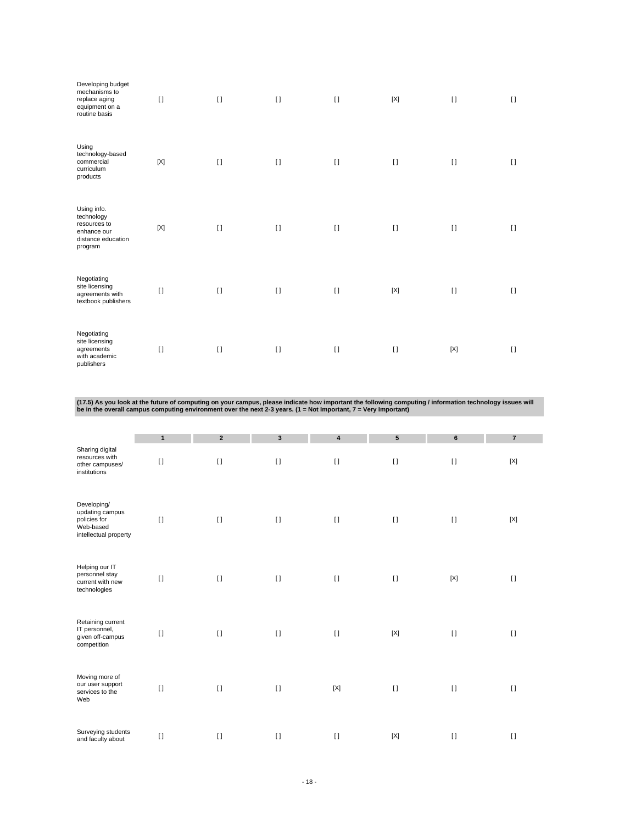| Developing budget<br>mechanisms to<br>replace aging<br>equipment on a<br>routine basis    | $\mathbf{I}$ | $[ \ ]$ | $[ \ ]$  | $[ \ ]$ | $[{\sf X}]$  | $[ \ ]$ | $[ \ ]$  |
|-------------------------------------------------------------------------------------------|--------------|---------|----------|---------|--------------|---------|----------|
| Using<br>technology-based<br>commercial<br>curriculum<br>products                         | $[{\sf X}]$  | $[ \ ]$ | $[ \ ]$  | $[ \ ]$ | $\mathbf{I}$ | $[ \ ]$ | $[ \ ]$  |
| Using info.<br>technology<br>resources to<br>enhance our<br>distance education<br>program | $[{\sf X}]$  | $[ \ ]$ | $[ \ ]$  | $[ \ ]$ | $[ \ ]$      | $[ \ ]$ | $[ \ ]$  |
| Negotiating<br>site licensing<br>agreements with<br>textbook publishers                   | $\lceil$     | $[ \ ]$ | $[ \ ]$  | $[ \ ]$ | $[{\sf X}]$  | $[ \ ]$ | $[ \ ]$  |
| Negotiating<br>site licensing<br>agreements<br>with academic<br>publishers                | $[ \ ]$      | $[ \ ]$ | $\lceil$ | $[ \ ]$ | $\mathbf{I}$ | [X]     | $\lceil$ |

(17.5) As you look at the future of computing on your campus, please indicate how important the following computing / information technology issues will<br>be in the overall campus computing environment over the next 2-3 year

|                                                                                      | $\mathbf{1}$ | $\overline{2}$ | $\mathbf{3}$ | $\overline{\mathbf{4}}$ | $5\phantom{.0}$ | $6\phantom{1}$ | $\overline{7}$ |
|--------------------------------------------------------------------------------------|--------------|----------------|--------------|-------------------------|-----------------|----------------|----------------|
| Sharing digital<br>resources with<br>other campuses/<br>institutions                 | $\mathbf{I}$ | $\mathbf{I}$   | $\lceil$     | $\lceil$                | $[ \ ]$         | $[ \ ]$        | [X]            |
| Developing/<br>updating campus<br>policies for<br>Web-based<br>intellectual property | $[ \ ]$      | $\mathbf{I}$   | $[ \ ]$      | $[ \ ]$                 | $[ \ ]$         | $[ \ ]$        | $[{\sf X}]$    |
| Helping our IT<br>personnel stay<br>current with new<br>technologies                 | $\lceil$     | $\mathbf{I}$   | $[ \ ]$      | $\lceil$                | $[ \ ]$         | $[{\sf X}]$    | $[ \ ]$        |
| Retaining current<br>IT personnel,<br>given off-campus<br>competition                | $\lceil$     | $\mathbf{I}$   | $\lceil$     | $[ \ ]$                 | [X]             | $[ \ ]$        | $[ \ ]$        |
| Moving more of<br>our user support<br>services to the<br>Web                         | $[ \ ]$      | $\mathbf{I}$   | $[ \ ]$      | $[{\sf X}]$             | $[ \ ]$         | $[ \ ]$        | $[ \ ]$        |
| Surveying students<br>and faculty about                                              | $[ \ ]$      | $\mathbf{I}$   | $\lceil$     | $\lceil$                | [X]             | $[ \ ]$        | $[ \ ]$        |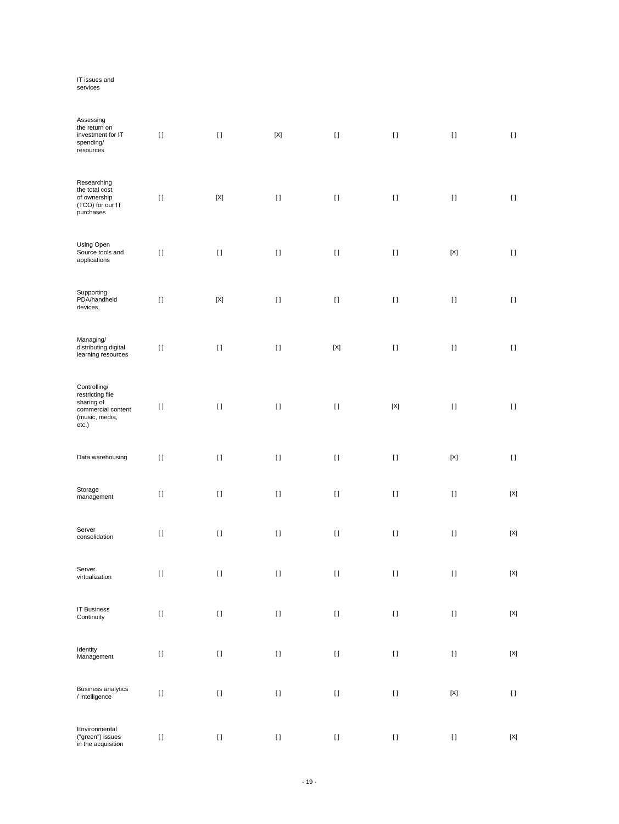# IT issues and services

| Assessing<br>the return on<br>investment for IT<br>spending/<br>resources                       | $[ \; ]$ | $[ \; ]$                                                                                                                                                                                              | $[{\sf X}]$ | $[ \; ]$    | $[ \ ]$               | $[ \; ]$                                                                                                                                                                                              | $[ \; ]$                               |
|-------------------------------------------------------------------------------------------------|----------|-------------------------------------------------------------------------------------------------------------------------------------------------------------------------------------------------------|-------------|-------------|-----------------------|-------------------------------------------------------------------------------------------------------------------------------------------------------------------------------------------------------|----------------------------------------|
| Researching<br>the total cost<br>of ownership<br>(TCO) for our IT<br>purchases                  | $[ \; ]$ | $[{\sf X}]$                                                                                                                                                                                           | $[ \; ]$    | $[ \ ]$     | $[ \; ]$              | $[ \ ]$                                                                                                                                                                                               | $[ \; ]$                               |
| Using Open<br>Source tools and<br>applications                                                  | $[ \; ]$ | $[ \; ]$                                                                                                                                                                                              | $[ \ ]$     | $[ \; ]$    | $[ \ ]$               | $[{\sf X}]$                                                                                                                                                                                           | $[ \ ]$                                |
| Supporting<br>PDA/handheld<br>devices                                                           | $[ \ ]$  | $[{\sf X}]$                                                                                                                                                                                           | $[ \ ]$     | $[ \ ]$     | $[ \ ]$               | $[ \ ]$                                                                                                                                                                                               | $[ \ ]$                                |
| Managing/<br>distributing digital<br>learning resources                                         | $[ \; ]$ | $[ \; ]$                                                                                                                                                                                              | $[ \; ]$    | $[{\sf X}]$ | $[ \ ]$               | $[ \ ]$                                                                                                                                                                                               | $[ \; ]$                               |
| Controlling/<br>restricting file<br>sharing of<br>commercial content<br>(music, media,<br>etc.) | $\lceil$ | $[ \ ]$                                                                                                                                                                                               | $[ \ ]$     | $[ \ ]$     | $[{\sf X}]$           | $[ \ ]$                                                                                                                                                                                               | $\begin{array}{c} \square \end{array}$ |
| Data warehousing                                                                                | $[ \; ]$ | $[1]$                                                                                                                                                                                                 | $[ \; ]$    | $[ \; ]$    | $[ \ ]$               | $[{\sf X}]$                                                                                                                                                                                           | $[ \ ]$                                |
| Storage<br>management                                                                           | $[ \ ]$  | $[ \ ]$                                                                                                                                                                                               | $[ \ ]$     | $[ \ ]$     | $[ \ ]$               | $[ \ ]$                                                                                                                                                                                               | $[{\sf X}]$                            |
| Server<br>consolidation                                                                         | $[ \ ]$  | $\lceil$                                                                                                                                                                                              | $[ \ ]$     | $[ \ ]$     | $[ \ ]$               | $[ \; ]$                                                                                                                                                                                              | $[{\sf X}]$                            |
| Server<br>virtualization                                                                        | $[ \; ]$ | $[ \; ]$                                                                                                                                                                                              | $[ \ ]$     | $[ \ ]$     | $[ \ ]$               | $[ \ ]$                                                                                                                                                                                               | $[{\sf X}]$                            |
| <b>IT Business</b><br>Continuity                                                                | $[ \ ]$  | $[ \ ]$                                                                                                                                                                                               | $[ \ ]$     | $[ \ ]$     |                       | $[] \centering \includegraphics[width=0.47\textwidth]{images/TrDiS-Architecture.png} \caption{The 3D (top) and 4D (bottom) are used for the 3D (bottom) and 3D (bottom).} \label{TrDiS-Architecture}$ | $[{\sf X}]$                            |
| Identity<br>Management                                                                          | $[ \ ]$  | $[ \ ]$                                                                                                                                                                                               | $[ \; ]$    | $[ \; ]$    | $\rm \scriptstyle II$ | $[ \; ]$                                                                                                                                                                                              | $[{\sf X}]$                            |
| <b>Business analytics</b><br>/ intelligence                                                     | $[ \ ]$  | $[ \ ]$                                                                                                                                                                                               | $[ \; ]$    | $[ \; ]$    | $\rm \scriptstyle II$ | $\left[ \text{X} \right]$                                                                                                                                                                             | $\left[ \ \right]$                     |
| Environmental<br>("green") issues<br>in the acquisition                                         | $[ \ ]$  | $[] \centering \includegraphics[width=0.47\textwidth]{images/TrDiS-Architecture.png} \caption{The 3D (top) and 4D (bottom) are used for the 3D (bottom) and 3D (bottom).} \label{TrDiS-Architecture}$ | $[ \ ]$     | $[ \: ]$    |                       | $[] \centering \includegraphics[width=0.47\textwidth]{images/TrDiS-Architecture.png} \caption{The 3D (top) and 4D (bottom) are used for the 3D (bottom) and 3D (bottom).} \label{TrDiS-Architecture}$ | $\left[ \text{X} \right]$              |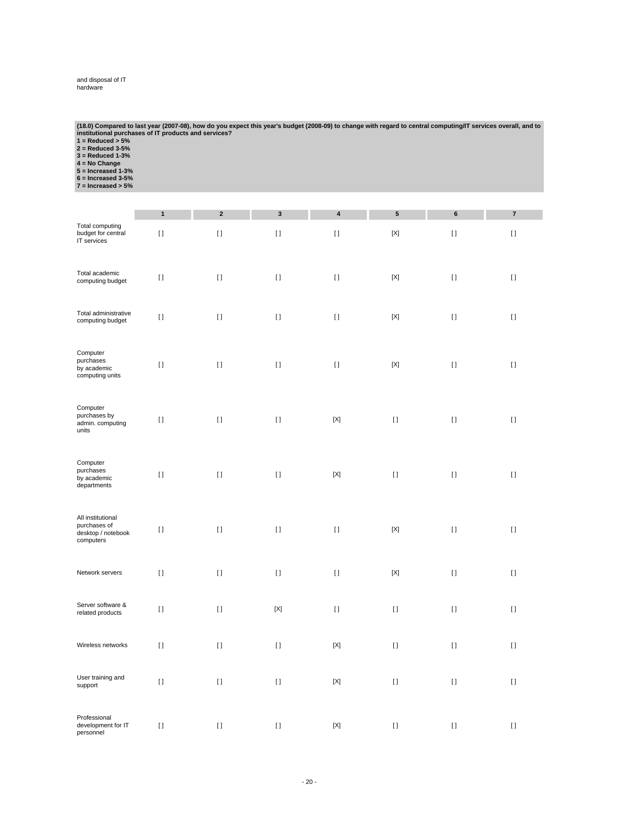# and disposal of IT hardware

| (18.0) Compared to last year (2007-08), how do you expect this year's budget (2008-09) to change with regard to central computing/IT services overall, and to |
|---------------------------------------------------------------------------------------------------------------------------------------------------------------|
| institutional purchases of IT products and services?                                                                                                          |
| $1 =$ Reduced $> 5\%$                                                                                                                                         |
| $2 =$ Reduced 3-5%                                                                                                                                            |
| $3 =$ Reduced 1-3%                                                                                                                                            |
| $4 = No Chanae$                                                                                                                                               |
| $5 =$ Increased 1-3%                                                                                                                                          |
| $6 =$ Increased 3-5%                                                                                                                                          |
| $7 =$ Increased $> 5\%$                                                                                                                                       |

|                                                                      | $\mathbf{1}$ | $\mathbf 2$                            | $\mathbf 3$ | 4           | ${\bf 5}$                                                                                                                                                                                                                                          | 6        | $\bf 7$                                |
|----------------------------------------------------------------------|--------------|----------------------------------------|-------------|-------------|----------------------------------------------------------------------------------------------------------------------------------------------------------------------------------------------------------------------------------------------------|----------|----------------------------------------|
| Total computing<br>budget for central<br>IT services                 | $[ \ ]$      | $[ \ ]$                                | $[ \ ]$     | $[ \ ]$     | $[{\sf X}]$                                                                                                                                                                                                                                        | $[ \ ]$  | $\begin{array}{c} \square \end{array}$ |
| Total academic<br>computing budget                                   | $[ \ ]$      | $\left[ \ \right]$                     | $[ \ ]$     | $[ \; ]$    | $[{\sf X}]$                                                                                                                                                                                                                                        | $[ \, ]$ | $[ \ ]$                                |
| Total administrative<br>computing budget                             | $[ \ ]$      | $\begin{array}{c} \square \end{array}$ | $[ \; ]$    | $[ \; ]$    | $[{\sf X}]$                                                                                                                                                                                                                                        | $[ \ ]$  | $[ \ ]$                                |
| Computer<br>purchases<br>by academic<br>computing units              | $[ \; ]$     | $\mathbf{I}$                           | $[ \; ]$    | $[ \ ]$     | $[{\sf X}]$                                                                                                                                                                                                                                        | $[ \ ]$  | $[ \ ]$                                |
| Computer<br>purchases by<br>admin. computing<br>units                | $[ \ ]$      | $\mathbf{I}$                           | $[ \ ]$     | $[{\sf X}]$ | $[ \ ]$                                                                                                                                                                                                                                            | $[ \ ]$  | $[ \ ]$                                |
| Computer<br>purchases<br>by academic<br>departments                  | $[ \ ]$      | $\begin{array}{c} \square \end{array}$ | $[ \; ]$    | $[{\sf X}]$ | $[ \; ]$                                                                                                                                                                                                                                           | $[ \; ]$ | $[ \ ]$                                |
| All institutional<br>purchases of<br>desktop / notebook<br>computers | $[ \ ]$      | $\begin{array}{c} \square \end{array}$ | $[ \ ]$     | $[ \ ]$     | $[{\sf X}]$                                                                                                                                                                                                                                        | $[ \ ]$  | $[ \ ]$                                |
| Network servers                                                      | $[ \ ]$      | $\begin{array}{c} \square \end{array}$ | $[ \ ]$     | $[ \ ]$     | $[{\sf X}]$                                                                                                                                                                                                                                        | $[ \ ]$  | $[ \ ]$                                |
| Server software &<br>related products                                | $[ \ ]$      | $\begin{array}{c} \square \end{array}$ | $[{\sf X}]$ | $[ \; ]$    | $[] \centering \includegraphics[width=0.47\textwidth]{images/TrDiS-Architecture.png} \caption{The 3D (top) and 4D (bottom) are used for the 3D (bottom) and 3D (bottom) are used for the 3D (bottom) and 3D (bottom).} \label{TrDiS-Architecture}$ | $[ \ ]$  | H                                      |
| Wireless networks                                                    | $\lceil$     | H.                                     | $[ \ ]$     | [X]         | $\mathfrak{g}$                                                                                                                                                                                                                                     | $[ \ ]$  | $[ \ ]$                                |
| User training and<br>support                                         | $\lceil$     | $\mathbf{I}$                           | $[ \ ]$     | $[{\sf X}]$ | $\mathbf{I}$                                                                                                                                                                                                                                       | $[ \ ]$  | $[ \ ]$                                |
| Professional<br>development for IT<br>personnel                      | $\lceil$     | $\begin{array}{c} \square \end{array}$ | $[ \ ]$     | $[{\sf X}]$ | $[ \ ]$                                                                                                                                                                                                                                            | $[ \ ]$  | $[ \ ]$                                |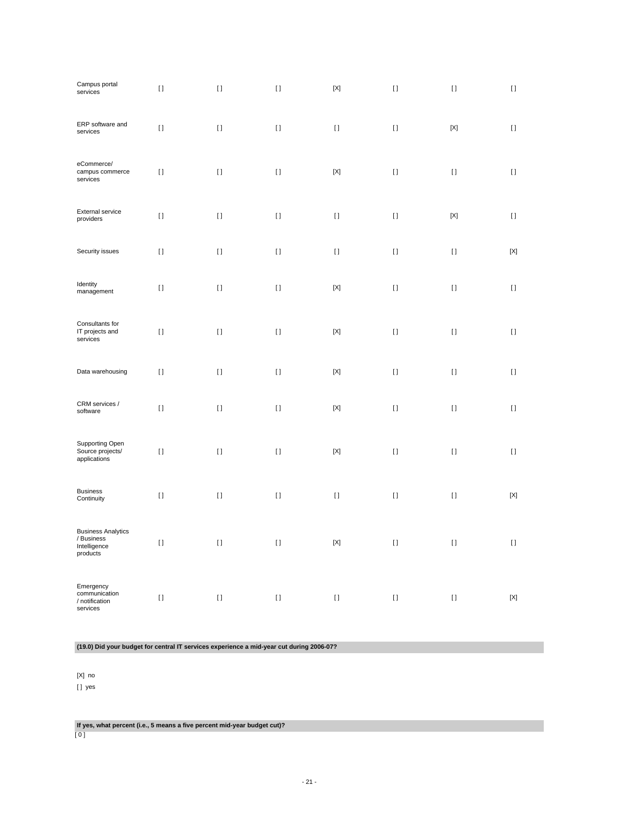| Campus portal<br>services                                           | $[ \ ]$  | $[ \; ]$                               | $[ \; ]$ | $[{\sf X}]$               | $[ \; ]$     | $[ \ ]$                                | $[ \ ]$     |
|---------------------------------------------------------------------|----------|----------------------------------------|----------|---------------------------|--------------|----------------------------------------|-------------|
| ERP software and<br>services                                        | $[ \ ]$  | $\begin{array}{c} \square \end{array}$ | $[ \; ]$ | $[ \ ]$                   | $[ \ ]$      | $[{\sf X}]$                            | $[ \ ]$     |
| eCommerce/<br>campus commerce<br>services                           | $[ \ ]$  | $\begin{array}{c} \square \end{array}$ | $[ \ ]$  | $[{\sf X}]$               | $[ \ ]$      | $[ \ ]$                                | $[ \ ]$     |
| <b>External service</b><br>providers                                | $[ \ ]$  | $[ \ ]$                                | $[ \ ]$  | $[ \ ]$                   | $[ \ ]$      | $[{\sf X}]$                            | $[ \ ]$     |
| Security issues                                                     | $[ \ ]$  | $\begin{array}{c} \square \end{array}$ | $[ \ ]$  | $[ \ ]$                   | $[ \ ]$      | $[ \ ]$                                | $[{\sf X}]$ |
| Identity<br>management                                              | $[ \ ]$  | $[ \ ]$                                | $[ \ ]$  | $[{\sf X}]$               | $[ \; ]$     | $[ \ ]$                                | $[ \ ]$     |
| Consultants for<br>IT projects and<br>services                      | $[ \; ]$ | $\begin{array}{c} \square \end{array}$ | $[ \; ]$ | $[{\sf X}]$               | $[ \ ]$      | $[ \ ]$                                | $[ \ ]$     |
| Data warehousing                                                    | $[ \ ]$  | $\begin{array}{c} \square \end{array}$ | $[ \ ]$  | $[{\sf X}]$               | $[ \ ]$      | $[ \ ]$                                | $[ \ ]$     |
| CRM services /<br>software                                          | $[ \ ]$  | $\begin{array}{c} \square \end{array}$ | $[ \ ]$  | $\left[ \text{X} \right]$ | $[ \ ]$      | $[ \ ]$                                | $[ \ ]$     |
| <b>Supporting Open</b><br>Source projects/<br>applications          | $[ \ ]$  | $\mathbf{I}$                           | $[ \ ]$  | $[{\sf X}]$               | $[ \ ]$      | $[ \ ]$                                | $[ \ ]$     |
| <b>Business</b><br>Continuity                                       | $[ \ ]$  | $[ \ ]$                                | $[ \ ]$  | $[ \ ]$                   | $[ \ ]$      | $[ \ ]$                                | $[{\sf X}]$ |
| <b>Business Analytics</b><br>/ Business<br>Intelligence<br>products | $[ \ ]$  | $\begin{array}{c} \square \end{array}$ | $[ \ ]$  | $[{\sf X}]$               | $[ \ ]$      | $\begin{array}{c} \square \end{array}$ | $[ \ ]$     |
| Emergency<br>communication<br>/ notification<br>services            | H        | H.                                     | $[ \ ]$  | $[ \ ]$                   | $\mathbf{I}$ | $[ \ ]$                                | $[{\sf X}]$ |

**(19.0) Did your budget for central IT services experience a mid-year cut during 2006-07?**

[X] no

[ ] yes

**If yes, what percent (i.e., 5 means a five percent mid-year budget cut)?** [ 0 ]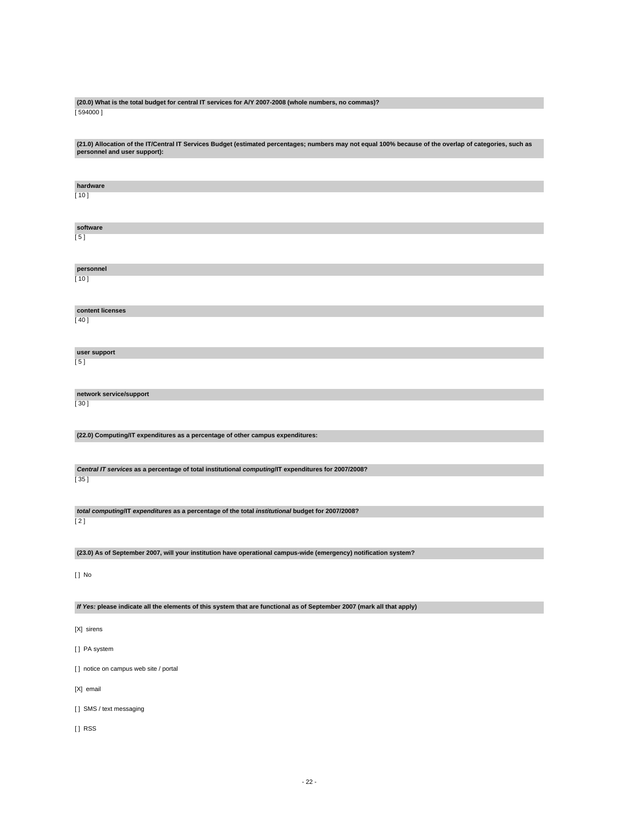### **(20.0) What is the total budget for central IT services for A/Y 2007-2008 (whole numbers, no commas)?** [ 594000 ]

**(21.0) Allocation of the IT/Central IT Services Budget (estimated percentages; numbers may not equal 100% because of the overlap of categories, such as personnel and user support): hardware** [ 10 ] **software**  $[5]$ **personnel**  $[ 10 ]$ **content licenses** [ 40 ] **user support** [ 5 ] **network service/support** [ 30 ] **(22.0) Computing/IT expenditures as a percentage of other campus expenditures: Central IT services as a percentage of total institutional computing/IT expenditures for 2007/2008?** [ 35 ] **total computing/IT expenditures as a percentage of the total institutional budget for 2007/2008?** [ 2 ] **(23.0) As of September 2007, will your institution have operational campus-wide (emergency) notification system?** [ ] No **If Yes: please indicate all the elements of this system that are functional as of September 2007 (mark all that apply)** [X] sirens [ ] PA system

[ ] notice on campus web site / portal

[X] email

[] SMS / text messaging

[ ] RSS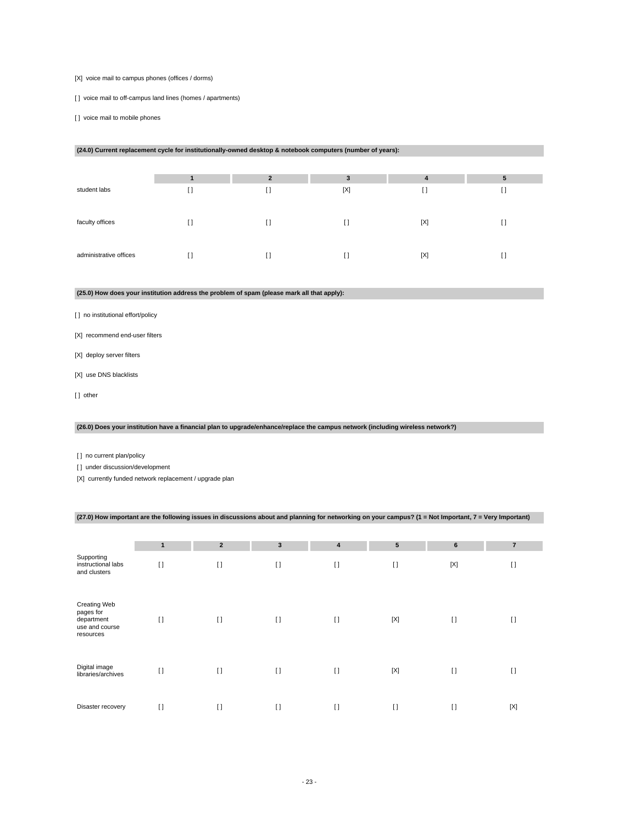### [X] voice mail to campus phones (offices / dorms)

[] voice mail to off-campus land lines (homes / apartments)

[ ] voice mail to mobile phones

| (24.0) Current replacement cycle for institutionally-owned desktop & notebook computers (number of years): |     |                |                                        |     |    |  |
|------------------------------------------------------------------------------------------------------------|-----|----------------|----------------------------------------|-----|----|--|
|                                                                                                            |     |                |                                        |     |    |  |
|                                                                                                            |     | $\overline{2}$ | 3                                      | 4   | 5  |  |
| student labs                                                                                               | U   | IJ             | [X]                                    | IJ  | LЛ |  |
|                                                                                                            |     |                |                                        |     |    |  |
| faculty offices                                                                                            | I)  | []             | I1                                     | [X] | IJ |  |
| administrative offices                                                                                     | I l | [ ]            | $\begin{array}{c} \square \end{array}$ | [X] | U  |  |
|                                                                                                            |     |                |                                        |     |    |  |

### **(25.0) How does your institution address the problem of spam (please mark all that apply):**

[ ] no institutional effort/policy

[X] recommend end-user filters

- [X] deploy server filters
- [X] use DNS blacklists
- [] other

## **(26.0) Does your institution have a financial plan to upgrade/enhance/replace the campus network (including wireless network?)**

[ ] no current plan/policy

[] under discussion/development

[X] currently funded network replacement / upgrade plan

## **(27.0) How important are the following issues in discussions about and planning for networking on your campus? (1 = Not Important, 7 = Very Important)**

|                                                                        | 1        | $\overline{2}$ | $\mathbf{3}$ | 4        | 5            | 6           | $\overline{7}$ |
|------------------------------------------------------------------------|----------|----------------|--------------|----------|--------------|-------------|----------------|
| Supporting<br>instructional labs<br>and clusters                       | $\lceil$ | $\lceil$       | $[ \ ]$      | $\lceil$ | $\mathbf{I}$ | $[{\sf X}]$ | $\lceil$       |
| Creating Web<br>pages for<br>department<br>use and course<br>resources | $\Box$   | $\lceil$       | $\lceil$     | $[ \ ]$  | $[{\sf X}]$  | $[ \ ]$     | $\lceil$       |
| Digital image<br>libraries/archives                                    | $\lceil$ | $\lceil$       | $\lceil$     | $[ \ ]$  | $[{\sf X}]$  | $[ \ ]$     | $\lceil$       |
| Disaster recovery                                                      | $\lceil$ | $\lceil$       | $[ \ ]$      | $\lceil$ | $\mathbf{I}$ | $[ \ ]$     | $[{\sf X}]$    |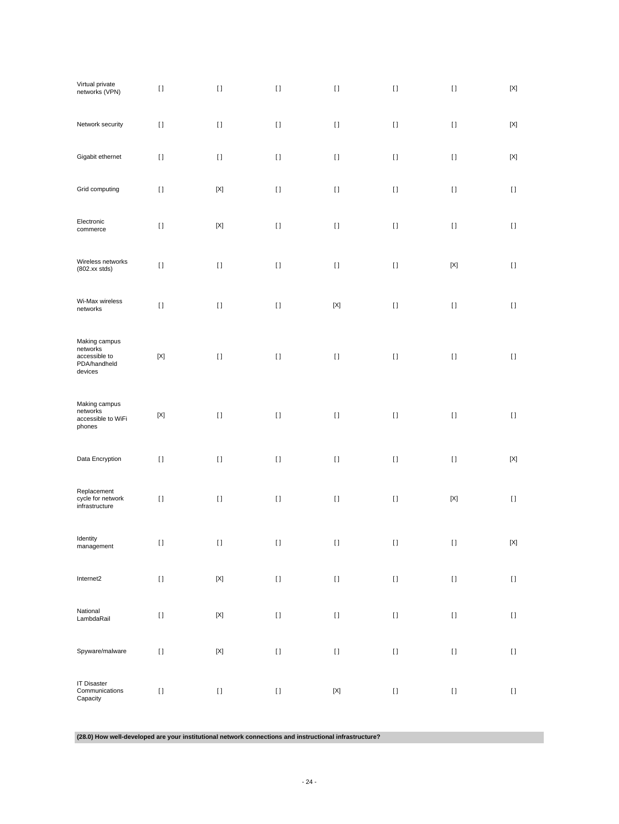| Virtual private<br>networks (VPN)                                     | $[ \ ]$     | $[ \, ]$                  | $[ \ ]$  | $[ \ ]$                   | $[ \: ]$                                                                                                                                                                                                                                           | $[ \ ]$                                                                                                                                                                                                                                            | $\left[ \text{X} \right]$              |
|-----------------------------------------------------------------------|-------------|---------------------------|----------|---------------------------|----------------------------------------------------------------------------------------------------------------------------------------------------------------------------------------------------------------------------------------------------|----------------------------------------------------------------------------------------------------------------------------------------------------------------------------------------------------------------------------------------------------|----------------------------------------|
| Network security                                                      | $[ \ ]$     | $[ \ ]$                   | $[ \; ]$ | $[ \ ]$                   | $[ \; ]$                                                                                                                                                                                                                                           | $[ \ ]$                                                                                                                                                                                                                                            | $[{\sf X}]$                            |
| Gigabit ethernet                                                      | $[ \; ]$    | $[ \; ]$                  | $[ \ ]$  | $[ \; ]$                  | $[ \; ]$                                                                                                                                                                                                                                           | $[ \ ]$                                                                                                                                                                                                                                            | $[{\sf X}]$                            |
| Grid computing                                                        | $[ \ ]$     | $\left[ \text{X} \right]$ | $[ \; ]$ | $[ \ ]$                   | $[ \; ]$                                                                                                                                                                                                                                           | $[ \ ]$                                                                                                                                                                                                                                            | $[ \ ]$                                |
| Electronic<br>commerce                                                | $[ \ ]$     | $\left[ \text{X} \right]$ | $[ \; ]$ | $[ \ ]$                   | $[ \; ]$                                                                                                                                                                                                                                           | $[ \; ]$                                                                                                                                                                                                                                           | $[ \ ]$                                |
| Wireless networks<br>$(802.xx$ stds)                                  | $[ \; ]$    | $[ \; ]$                  | $[ \; ]$ | $[ \ ]$                   | $[ \; ]$                                                                                                                                                                                                                                           | $\left[ \text{X} \right]$                                                                                                                                                                                                                          | $[ \ ]$                                |
| Wi-Max wireless<br>networks                                           | $[ \ ]$     | $[ \, ]$                  | $[ \ ]$  | $[{\sf X}]$               |                                                                                                                                                                                                                                                    | $[ \; ]$                                                                                                                                                                                                                                           | $[ \; ]$                               |
| Making campus<br>networks<br>accessible to<br>PDA/handheld<br>devices | $[{\sf X}]$ | $[ \, ]$                  | $[ \ ]$  | $[ \; ]$                  | $[ \; ]$                                                                                                                                                                                                                                           | $[ \; ]$                                                                                                                                                                                                                                           | $[ \; ]$                               |
| Making campus<br>networks<br>accessible to WiFi<br>phones             | $[{\sf X}]$ | $[ \, ]$                  | $[ \; ]$ | $[ \ ]$                   | $[ \: ]$                                                                                                                                                                                                                                           | $[ \ ]$                                                                                                                                                                                                                                            | $[ \; ]$                               |
| Data Encryption                                                       | $[ \ ]$     | $[ \; ]$                  | $[ \; ]$ | $[ \; ]$                  | $[ \; ]$                                                                                                                                                                                                                                           | $[ \; ]$                                                                                                                                                                                                                                           | $\left[ \text{X} \right]$              |
| Replacement<br>cycle for network<br>infrastructure                    | $[ \ ]$     | $[ \: ]$                  | $[ \; ]$ | $[ \ ]$                   | $[ \: ]$                                                                                                                                                                                                                                           | $\left[ \text{X} \right]$                                                                                                                                                                                                                          | $\begin{array}{c} \square \end{array}$ |
| Identity<br>management                                                | $\Box$      | $\prod$                   | $\Box$   | $\Box$                    | $\Box$                                                                                                                                                                                                                                             | $\Box$                                                                                                                                                                                                                                             | $[{\sf X}]$                            |
| Internet2                                                             | $[ \ ]$     | $[{\sf X}]$               | $[ \ ]$  | $[ \ ]$                   |                                                                                                                                                                                                                                                    | $[ \; ]$                                                                                                                                                                                                                                           | $\rm I$ l                              |
| National<br>LambdaRail                                                | $[ \ ]$     | $\left[ \text{X} \right]$ | $[ \: ]$ | $[ \ ]$                   | $[ \: ]$                                                                                                                                                                                                                                           | $\rm I$ l                                                                                                                                                                                                                                          | $\rm I$ l                              |
| Spyware/malware                                                       | $[ \ ]$     | $\left[ \text{X} \right]$ | $[ \: ]$ | $[ \ ]$                   | $[ \: ]$                                                                                                                                                                                                                                           | $[] \centering \includegraphics[width=0.47\textwidth]{images/TrDiS-Architecture.png} \caption{The 3D (top) and 4D (bottom) are used for the 3D (bottom) and 3D (bottom) are used for the 3D (bottom) and 3D (bottom).} \label{TrDiS-Architecture}$ | $\left[ \ \right]$                     |
| <b>IT Disaster</b><br>Communications<br>Capacity                      | $[ \: ]$    | $[ \: ]$                  | $[ \ ]$  | $\left[ \text{X} \right]$ | $[] \centering \includegraphics[width=0.47\textwidth]{images/TrDiS-Architecture.png} \caption{The 3D (top) and 4D (bottom) are used for the 3D (bottom) and 3D (bottom) are used for the 3D (bottom) and 3D (bottom).} \label{TrDiS-Architecture}$ | $[ \; ]$                                                                                                                                                                                                                                           | $[ \ ]$                                |

**(28.0) How well-developed are your institutional network connections and instructional infrastructure?**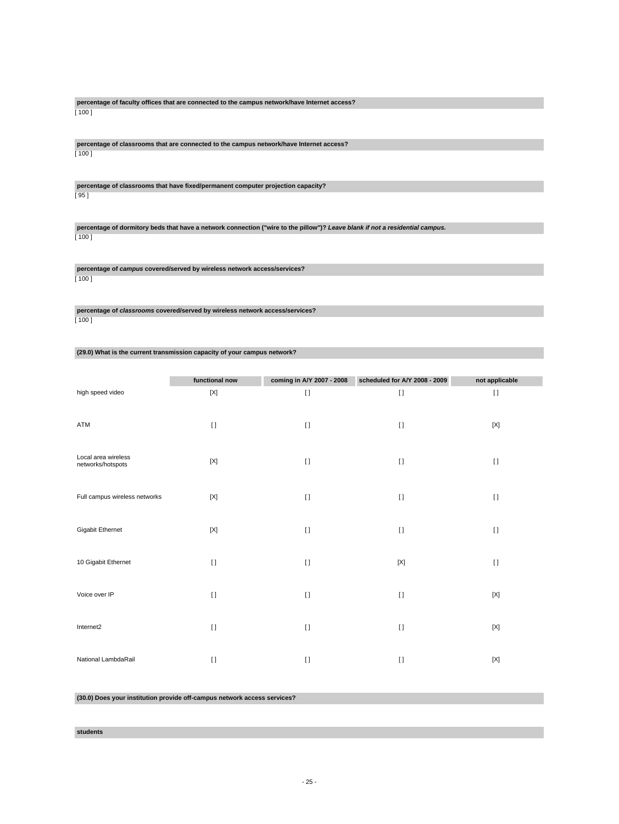**percentage of faculty offices that are connected to the campus network/have Internet access?** [ 100 ]

**percentage of classrooms that are connected to the campus network/have Internet access?**  $[100]$ 

**percentage of classrooms that have fixed/permanent computer projection capacity?** [ 95 ]

**percentage of dormitory beds that have a network connection ("wire to the pillow")? Leave blank if not a residential campus.**  $[100]$ 

**percentage of campus covered/served by wireless network access/services?** [ 100 ]

**percentage of classrooms covered/served by wireless network access/services?** [ 100 ]

**(29.0) What is the current transmission capacity of your campus network?**

|                                          | functional now | coming in A/Y 2007 - 2008 | scheduled for A/Y 2008 - 2009 | not applicable |
|------------------------------------------|----------------|---------------------------|-------------------------------|----------------|
| high speed video                         | $[{\sf X}]$    | $\mathbf{I}$              | $[ \ ]$                       | $[ \ ]$        |
| ATM                                      | $\mathbf{I}$   | $[ \ ]$                   | $\lceil$                      | $[{\sf X}]$    |
| Local area wireless<br>networks/hotspots | $[{\sf X}]$    | $[ \ ]$                   | $\lceil$                      | $[ \; ]$       |
| Full campus wireless networks            | $[{\sf X}]$    | $[ \ ]$                   | $[ \ ]$                       | $[ \; ]$       |
| Gigabit Ethernet                         | $[{\sf X}]$    | $\mathbf{I}$              | $\mathbf{I}$                  | $[ \ ]$        |
| 10 Gigabit Ethernet                      | $[ \ ]$        | $[ \ ]$                   | $[{\sf X}]$                   | $[ \; ]$       |
| Voice over IP                            | $[ \ ]$        | $[ \ ]$                   | $\mathbf{I}$                  | $[{\sf X}]$    |
| Internet2                                | $\mathbf{I}$   | $\left[ \right]$          | $\mathbf{I}$                  | $[{\sf X}]$    |
| National LambdaRail                      | $[ \ ]$        | $[ \ ]$                   | $\lceil$                      | $[{\sf X}]$    |

**(30.0) Does your institution provide off-campus network access services?**

### **students**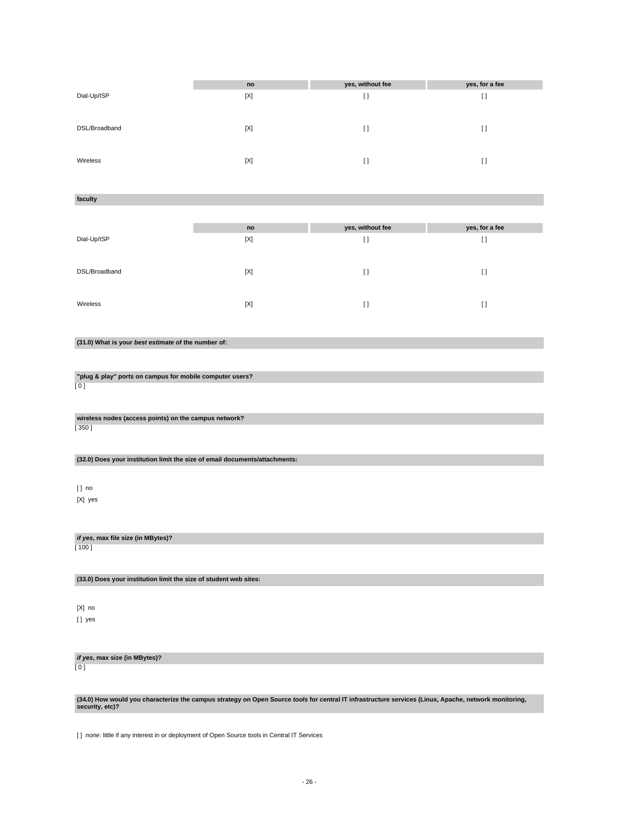|               | no          | yes, without fee | yes, for a fee |
|---------------|-------------|------------------|----------------|
| Dial-Up/ISP   | $[{\sf X}]$ | I)               | $\Box$         |
|               |             |                  |                |
|               |             |                  |                |
| DSL/Broadband | [X]         | I)               | $\Box$         |
|               |             |                  |                |
|               |             |                  |                |
| Wireless      |             |                  |                |
|               | [X]         | I)               | H              |

### **faculty**

|               | no  | yes, without fee | yes, for a fee |
|---------------|-----|------------------|----------------|
| Dial-Up/ISP   | [X] | $\lceil$         | $\lceil$       |
|               |     |                  |                |
| DSL/Broadband | [X] | $\Box$           | I)             |
|               |     |                  |                |
| Wireless      | [X] | Ω                | I)             |
|               |     |                  |                |

## **(31.0) What is your best estimate of the number of:**

# **"plug & play" ports on campus for mobile computer users?**

[ 0 ]

#### **wireless nodes (access points) on the campus network?** [ 350 ]

### **(32.0) Does your institution limit the size of email documents/attachments:**

[ ] no [X] yes

### **if yes, max file size (in MBytes)?**

[ 100 ]

### **(33.0) Does your institution limit the size of student web sites:**

[X] no [ ] yes

# **if yes, max size (in MBytes)?**

[ 0 ]

# **(34.0) How would you characterize the campus strategy on Open Source tools for central IT infrastructure services (Linux, Apache, network monitoring, security, etc)?**

[ ] none: little if any interest in or deployment of Open Source tools in Central IT Services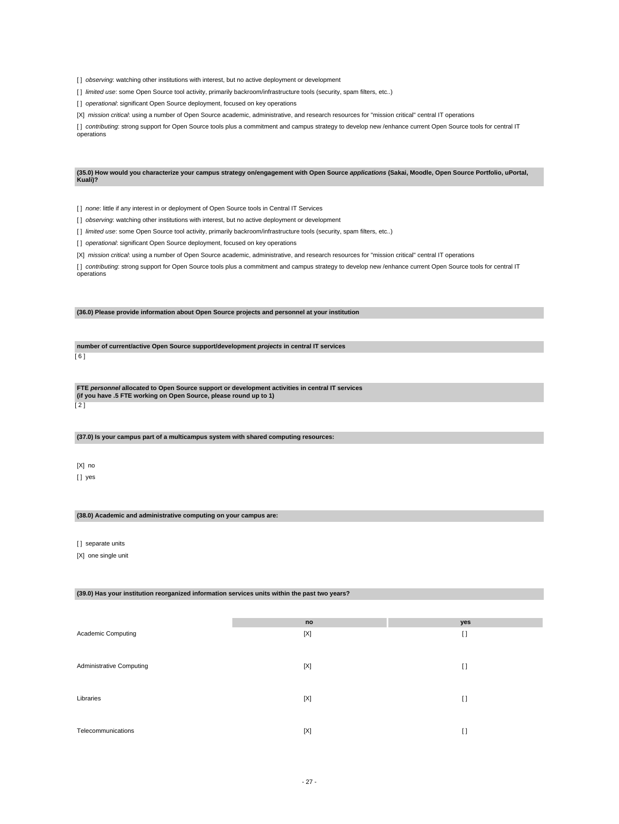[] observing: watching other institutions with interest, but no active deployment or development

[] limited use: some Open Source tool activity, primarily backroom/infrastructure tools (security, spam filters, etc..)

[ ] operational: significant Open Source deployment, focused on key operations

[X] mission critical: using a number of Open Source academic, administrative, and research resources for "mission critical" central IT operations

[] contributing: strong support for Open Source tools plus a commitment and campus strategy to develop new /enhance current Open Source tools for central IT operations

**(35.0) How would you characterize your campus strategy on/engagement with Open Source applications (Sakai, Moodle, Open Source Portfolio, uPortal, Kuali)?**

[ ] none: little if any interest in or deployment of Open Source tools in Central IT Services

[] observing: watching other institutions with interest, but no active deployment or development

[ ] limited use: some Open Source tool activity, primarily backroom/infrastructure tools (security, spam filters, etc..)

[] operational: significant Open Source deployment, focused on key operations

[X] mission critical: using a number of Open Source academic, administrative, and research resources for "mission critical" central IT operations

[] contributing: strong support for Open Source tools plus a commitment and campus strategy to develop new /enhance current Open Source tools for central IT operations

**(36.0) Please provide information about Open Source projects and personnel at your institution**

**number of current/active Open Source support/development projects in central IT services** [ 6 ]

**FTE personnel allocated to Open Source support or development activities in central IT services (if you have .5 FTE working on Open Source, please round up to 1)**

 $\overline{121}$ 

#### **(37.0) Is your campus part of a multicampus system with shared computing resources:**

[X] no [] yes

### **(38.0) Academic and administrative computing on your campus are:**

[] separate units

[X] one single unit

### **(39.0) Has your institution reorganized information services units within the past two years?**

|                                 | no  | yes     |
|---------------------------------|-----|---------|
| Academic Computing              | [X] | $[ \ ]$ |
|                                 |     |         |
|                                 |     |         |
| <b>Administrative Computing</b> | [X] | $[ \ ]$ |
|                                 |     |         |
|                                 |     |         |
| Libraries                       | [X] | $[ \ ]$ |
|                                 |     |         |
| Telecommunications              | [X] | H       |
|                                 |     |         |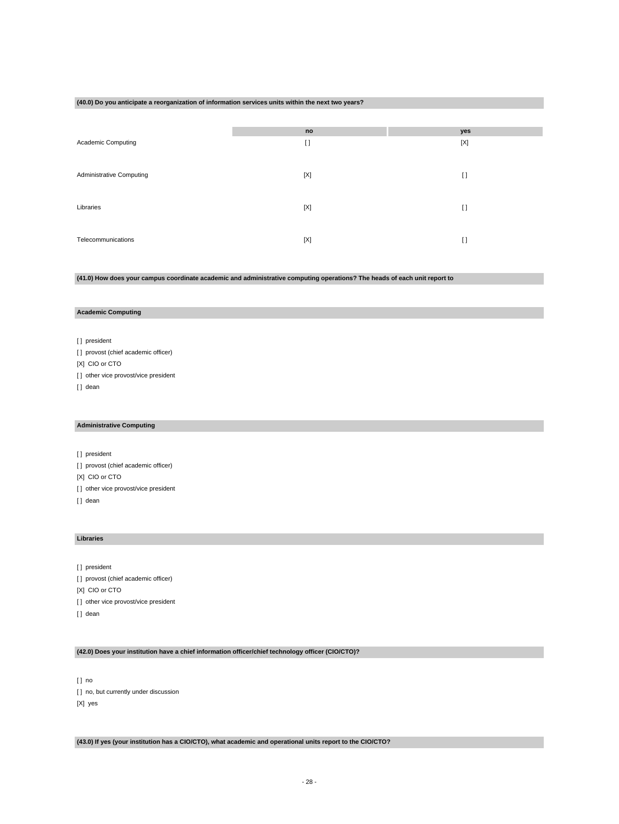### **(40.0) Do you anticipate a reorganization of information services units within the next two years?**

|                                 | no          | yes     |
|---------------------------------|-------------|---------|
| Academic Computing              | I)          | [X]     |
|                                 |             |         |
|                                 |             |         |
| <b>Administrative Computing</b> | [X]         | $[ \ ]$ |
|                                 |             |         |
| Libraries                       | $[{\sf X}]$ | $[ \ ]$ |
|                                 |             |         |
|                                 |             |         |
| Telecommunications              | $[{\sf X}]$ | $[ \ ]$ |

**(41.0) How does your campus coordinate academic and administrative computing operations? The heads of each unit report to**

### **Academic Computing**

[] president [] provost (chief academic officer) [X] CIO or CTO [] other vice provost/vice president [] dean

### **Administrative Computing**

[] president [] provost (chief academic officer) [X] CIO or CTO [] other vice provost/vice president [] dean

### **Libraries**

[] president [ ] provost (chief academic officer) [X] CIO or CTO [] other vice provost/vice president [] dean

## **(42.0) Does your institution have a chief information officer/chief technology officer (CIO/CTO)?**

[ ] no [ ] no, but currently under discussion [X] yes

**(43.0) If yes (your institution has a CIO/CTO), what academic and operational units report to the CIO/CTO?**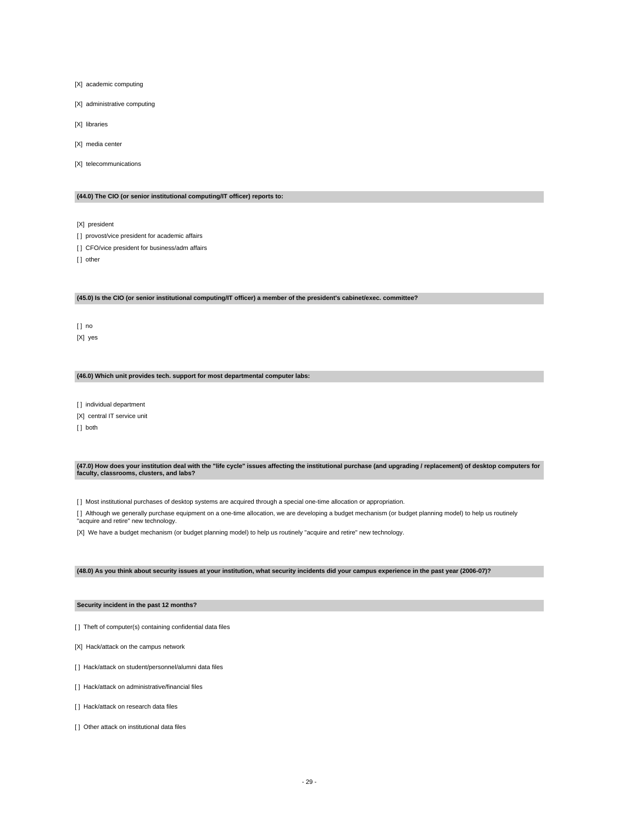- [X] academic computing
- [X] administrative computing
- [X] libraries
- [X] media center
- [X] telecommunications

### **(44.0) The CIO (or senior institutional computing/IT officer) reports to:**

[X] president

- [] provost/vice president for academic affairs
- [] CFO/vice president for business/adm affairs

[] other

### **(45.0) Is the CIO (or senior institutional computing/IT officer) a member of the president's cabinet/exec. committee?**

[ ] no [X] yes

### **(46.0) Which unit provides tech. support for most departmental computer labs:**

[] individual department [X] central IT service unit

[] both

**(47.0) How does your institution deal with the "life cycle" issues affecting the institutional purchase (and upgrading / replacement) of desktop computers for faculty, classrooms, clusters, and labs?**

[ ] Most institutional purchases of desktop systems are acquired through a special one-time allocation or appropriation.

[ ] Although we generally purchase equipment on a one-time allocation, we are developing a budget mechanism (or budget planning model) to help us routinely "acquire and retire" new technology.

[X] We have a budget mechanism (or budget planning model) to help us routinely "acquire and retire" new technology.

### **(48.0) As you think about security issues at your institution, what security incidents did your campus experience in the past year (2006-07)?**

### **Security incident in the past 12 months?**

- [] Theft of computer(s) containing confidential data files
- [X] Hack/attack on the campus network
- [] Hack/attack on student/personnel/alumni data files
- [] Hack/attack on administrative/financial files
- [ ] Hack/attack on research data files
- [ ] Other attack on institutional data files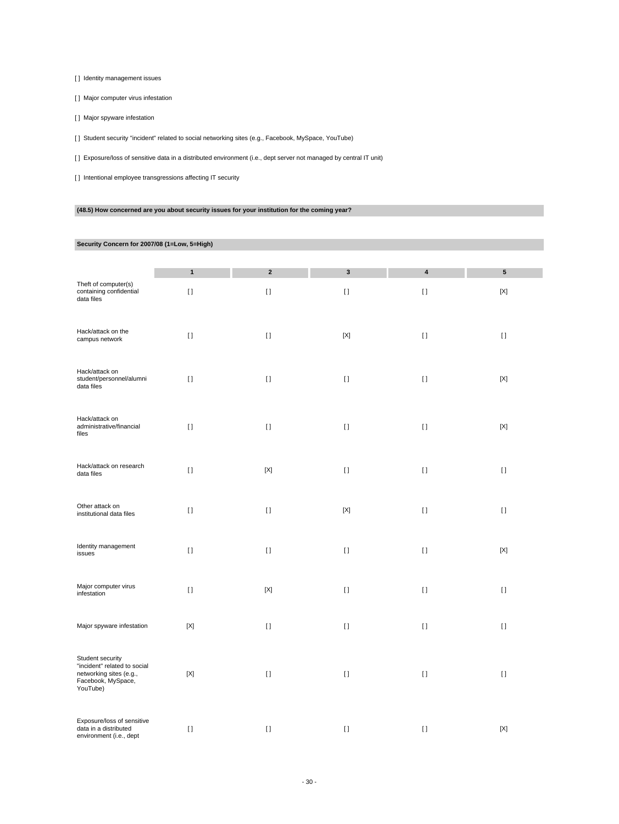[ ] Identity management issues

[ ] Major computer virus infestation

[ ] Major spyware infestation

[ ] Student security "incident" related to social networking sites (e.g., Facebook, MySpace, YouTube)

[ ] Exposure/loss of sensitive data in a distributed environment (i.e., dept server not managed by central IT unit)

[] Intentional employee transgressions affecting IT security

# **(48.5) How concerned are you about security issues for your institution for the coming year?**

## **Security Concern for 2007/08 (1=Low, 5=High)**

| Theft of computer(s)<br>containing confidential<br>data files                                                 | $\mathbf{1}$<br>$[ \ ]$ | $\mathbf 2$<br>$[ \ ]$ | 3<br>$[ \ ]$ | 4<br>$[ \; ]$                          | 5<br>$[{\sf X}]$ |
|---------------------------------------------------------------------------------------------------------------|-------------------------|------------------------|--------------|----------------------------------------|------------------|
| Hack/attack on the<br>campus network                                                                          | $[1]$                   | $[ \; ]$               | $[{\sf X}]$  | $[ \ ]$                                | $[ \; ]$         |
| Hack/attack on<br>student/personnel/alumni<br>data files                                                      | $[1]$                   | $[ \; ]$               | $[ \; ]$     | $[ \ ]$                                | $[{\sf X}]$      |
| Hack/attack on<br>administrative/financial<br>files                                                           | $[ \; ]$                | $[ \ ]$                | $[ \ ]$      | $\begin{array}{c} \square \end{array}$ | $[{\sf X}]$      |
| Hack/attack on research<br>data files                                                                         | $[ \; ]$                | $[{\sf X}]$            | $[ \; ]$     | $[ \ ]$                                | $[ \; ]$         |
| Other attack on<br>institutional data files                                                                   | $\lceil$                | $[ \ ]$                | $[{\sf X}]$  | $[ \ ]$                                | $\lceil$         |
| Identity management<br>issues                                                                                 | $\lceil$                | $[ \ ]$                | $[ \ ]$      | $[ \ ]$                                | [X]              |
| Major computer virus<br>infestation                                                                           | $[ \; ]$                | $[{\sf X}]$            | $[ \; ]$     | $[1]$                                  | $[ \; ]$         |
| Major spyware infestation                                                                                     | $[{\sf X}]$             | $[ \; ]$               | $\lceil$     | $[ \ ]$                                | $[ \ ]$          |
| Student security<br>"incident" related to social<br>networking sites (e.g.,<br>Facebook, MySpace,<br>YouTube) | $[{\sf X}]$             | $[ \ ]$                | $[ \; ]$     | $[ \ ]$                                | $[ \ ]$          |
| Exposure/loss of sensitive<br>data in a distributed<br>environment (i.e., dept                                | $[1]$                   | $[ \; ]$               | $[ \; ]$     | $[ \ ]$                                | $[{\sf X}]$      |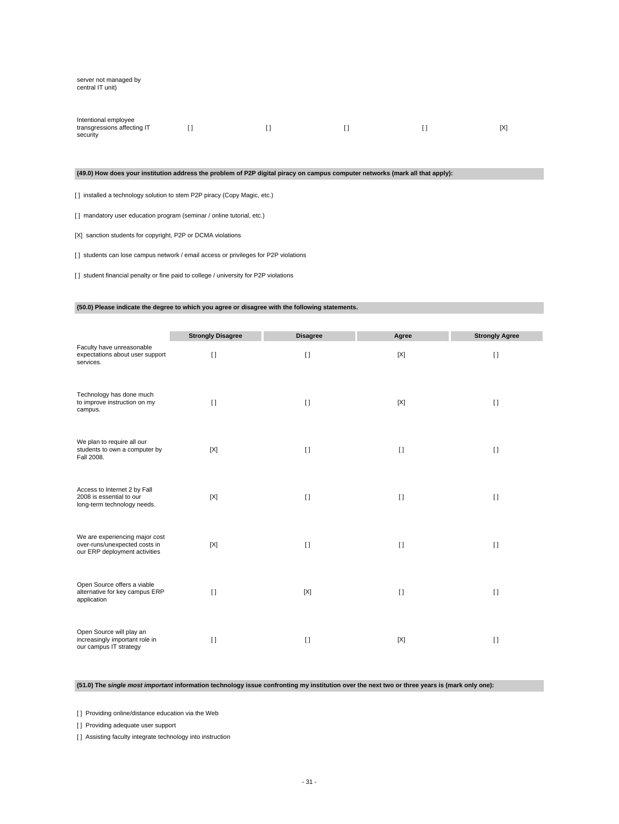#### server not managed by central IT unit)

| Intentional employee        |  |  |     |
|-----------------------------|--|--|-----|
| transgressions affecting IT |  |  | [X] |
| security                    |  |  |     |

### **(49.0) How does your institution address the problem of P2P digital piracy on campus computer networks (mark all that apply):**

[ ] installed a technology solution to stem P2P piracy (Copy Magic, etc.)

[] mandatory user education program (seminar / online tutorial, etc.)

[X] sanction students for copyright, P2P or DCMA violations

[] students can lose campus network / email access or privileges for P2P violations

[ ] student financial penalty or fine paid to college / university for P2P violations

### **(50.0) Please indicate the degree to which you agree or disagree with the following statements.**

|                                                                                                  | <b>Strongly Disagree</b> | <b>Disagree</b> | Agree        | <b>Strongly Agree</b> |
|--------------------------------------------------------------------------------------------------|--------------------------|-----------------|--------------|-----------------------|
| Faculty have unreasonable<br>expectations about user support<br>services.                        | $\Box$                   | $[ \ ]$         | [X]          | $[ \ ]$               |
| Technology has done much<br>to improve instruction on my<br>campus.                              | $[ \ ]$                  | $[ \ ]$         | [X]          | $[ \ ]$               |
| We plan to require all our<br>students to own a computer by<br>Fall 2008.                        | [X]                      | $\lceil$        | $\mathbf{I}$ | $[ \ ]$               |
| Access to Internet 2 by Fall<br>2008 is essential to our<br>long-term technology needs.          | [X]                      | $[ \ ]$         | $[ \ ]$      | $\Box$                |
| We are experiencing major cost<br>over-runs/unexpected costs in<br>our ERP deployment activities | [X]                      | $\Box$          | $\Box$       | $\Box$                |
| Open Source offers a viable<br>alternative for key campus ERP<br>application                     | $\Box$                   | [X]             | $\Box$       | $\Box$                |
| Open Source will play an<br>increasingly important role in<br>our campus IT strategy             | $\Box$                   | $\Box$          | [X]          | $\Box$                |

**(51.0) The single most important information technology issue confronting my institution over the next two or three years is (mark only one):**

[] Providing online/distance education via the Web

[] Providing adequate user support

[] Assisting faculty integrate technology into instruction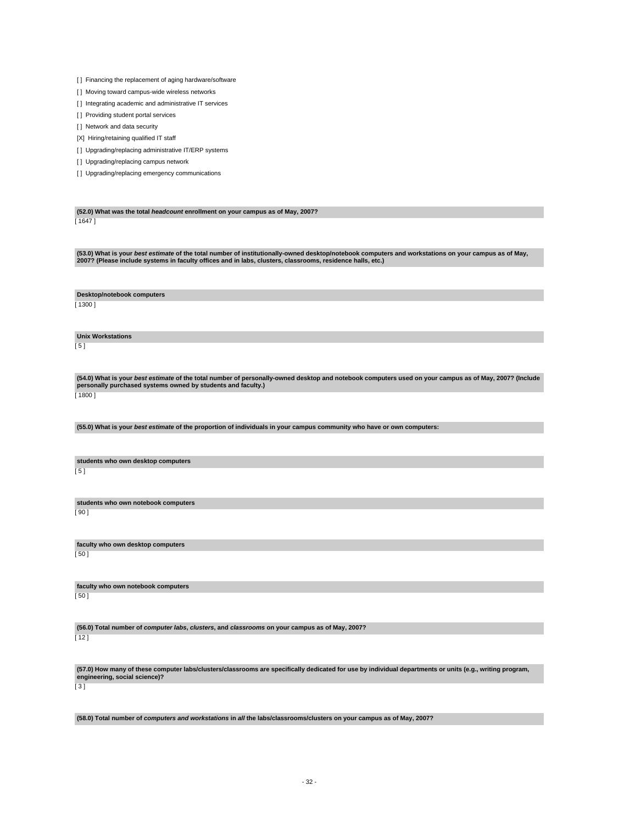[] Financing the replacement of aging hardware/software

[ ] Moving toward campus-wide wireless networks

[] Integrating academic and administrative IT services

[] Providing student portal services

[ ] Network and data security

[X] Hiring/retaining qualified IT staff

[] Upgrading/replacing administrative IT/ERP systems

[] Upgrading/replacing campus network

[] Upgrading/replacing emergency communications

**(52.0) What was the total headcount enrollment on your campus as of May, 2007?** [ 1647 ]

**(53.0) What is your best estimate of the total number of institutionally-owned desktop/notebook computers and workstations on your campus as of May, 2007? (Please include systems in faculty offices and in labs, clusters, classrooms, residence halls, etc.)**

**Desktop/notebook computers**

[ 1300 ]

**Unix Workstations**

 $\overline{[} 5 ]$ 

(54.0) What is your *best estimate* of the total number of personally-owned desktop and notebook computers used on your campus as of May, 2007? (Include<br>personally purchased systems owned by students and faculty.) [ 1800 ]

**(55.0) What is your best estimate of the proportion of individuals in your campus community who have or own computers:**

**students who own desktop computers**

 $[5]$ 

**students who own notebook computers** [ 90 ]

**faculty who own desktop computers** [ 50 ]

**faculty who own notebook computers**

[ 50 ]

**(56.0) Total number of computer labs, clusters, and classrooms on your campus as of May, 2007?**

[ 12 ]

**(57.0) How many of these computer labs/clusters/classrooms are specifically dedicated for use by individual departments or units (e.g., writing program, engineering, social science)?**

[ 3 ]

**(58.0) Total number of computers and workstations in all the labs/classrooms/clusters on your campus as of May, 2007?**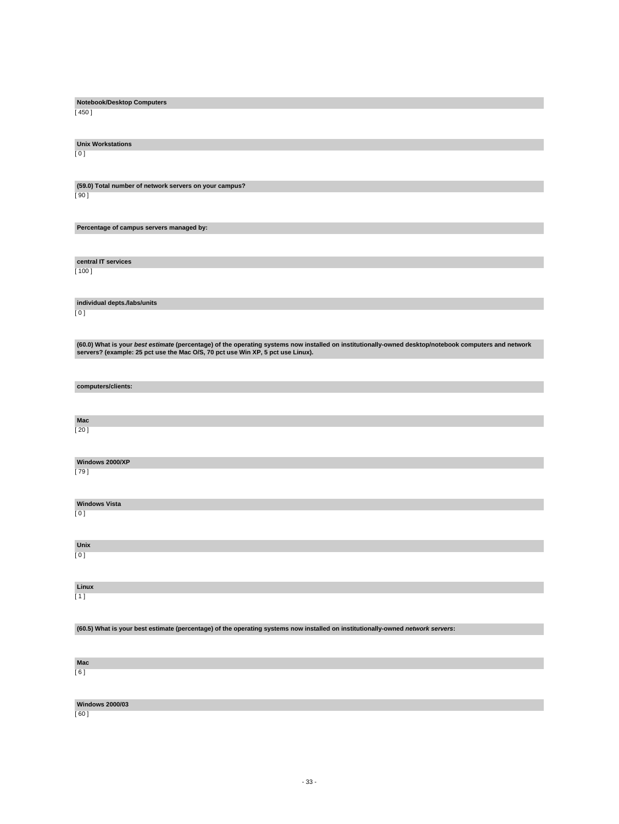| Notebook/Desktop Computers                                                                                                                            |
|-------------------------------------------------------------------------------------------------------------------------------------------------------|
| [ 450 ]                                                                                                                                               |
|                                                                                                                                                       |
|                                                                                                                                                       |
| <b>Unix Workstations</b>                                                                                                                              |
| [0]                                                                                                                                                   |
|                                                                                                                                                       |
|                                                                                                                                                       |
| (59.0) Total number of network servers on your campus?                                                                                                |
| [90]                                                                                                                                                  |
|                                                                                                                                                       |
|                                                                                                                                                       |
|                                                                                                                                                       |
| Percentage of campus servers managed by:                                                                                                              |
|                                                                                                                                                       |
|                                                                                                                                                       |
| central IT services                                                                                                                                   |
| [ 100 ]                                                                                                                                               |
|                                                                                                                                                       |
|                                                                                                                                                       |
| individual depts./labs/units                                                                                                                          |
| [0]                                                                                                                                                   |
|                                                                                                                                                       |
|                                                                                                                                                       |
|                                                                                                                                                       |
| (60.0) What is your best estimate (percentage) of the operating systems now installed on institutionally-owned desktop/notebook computers and network |
| servers? (example: 25 pct use the Mac O/S, 70 pct use Win XP, 5 pct use Linux).                                                                       |
|                                                                                                                                                       |
|                                                                                                                                                       |
| computers/clients:                                                                                                                                    |
|                                                                                                                                                       |
|                                                                                                                                                       |
| Mac                                                                                                                                                   |
| [ 20 ]                                                                                                                                                |
|                                                                                                                                                       |
|                                                                                                                                                       |
|                                                                                                                                                       |
| Windows 2000/XP                                                                                                                                       |
| [79]                                                                                                                                                  |
|                                                                                                                                                       |
|                                                                                                                                                       |
| <b>Windows Vista</b>                                                                                                                                  |
| [0]                                                                                                                                                   |
|                                                                                                                                                       |
|                                                                                                                                                       |
| Unix                                                                                                                                                  |
| [0]                                                                                                                                                   |
|                                                                                                                                                       |
|                                                                                                                                                       |
| Linux                                                                                                                                                 |
| [1]                                                                                                                                                   |
|                                                                                                                                                       |
|                                                                                                                                                       |
|                                                                                                                                                       |
| (60.5) What is your best estimate (percentage) of the operating systems now installed on institutionally-owned network servers:                       |
|                                                                                                                                                       |
|                                                                                                                                                       |
| Mac                                                                                                                                                   |
| [6]                                                                                                                                                   |
|                                                                                                                                                       |
|                                                                                                                                                       |
|                                                                                                                                                       |

[ 60 ]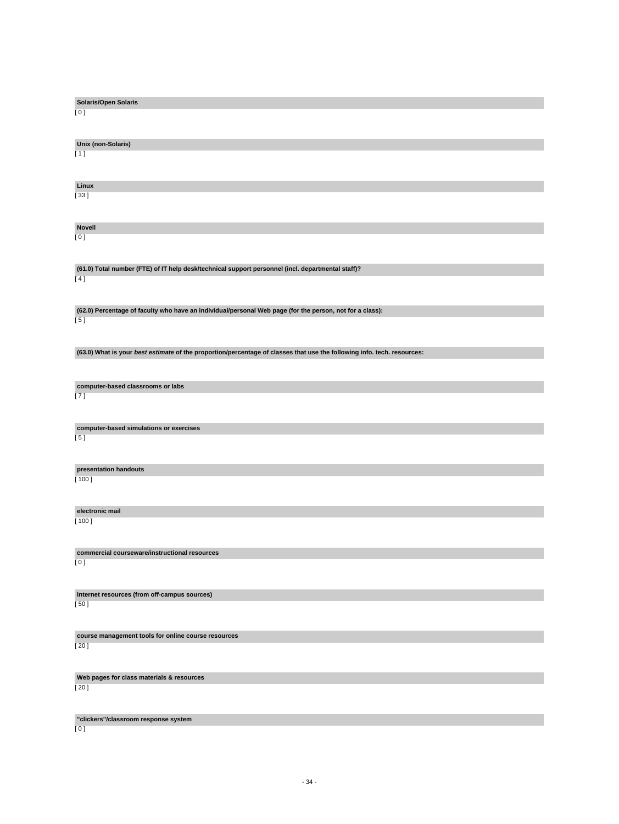| <b>Solaris/Open Solaris</b>                                                                                             |
|-------------------------------------------------------------------------------------------------------------------------|
| [0]                                                                                                                     |
|                                                                                                                         |
|                                                                                                                         |
|                                                                                                                         |
| Unix (non-Solaris)                                                                                                      |
| [1]                                                                                                                     |
|                                                                                                                         |
|                                                                                                                         |
|                                                                                                                         |
| Linux                                                                                                                   |
|                                                                                                                         |
| [33]                                                                                                                    |
|                                                                                                                         |
|                                                                                                                         |
|                                                                                                                         |
| <b>Novell</b>                                                                                                           |
| [0]                                                                                                                     |
|                                                                                                                         |
|                                                                                                                         |
|                                                                                                                         |
| (61.0) Total number (FTE) of IT help desk/technical support personnel (incl. departmental staff)?                       |
| [4]                                                                                                                     |
|                                                                                                                         |
|                                                                                                                         |
|                                                                                                                         |
| (62.0) Percentage of faculty who have an individual/personal Web page (for the person, not for a class):                |
| [5]                                                                                                                     |
|                                                                                                                         |
|                                                                                                                         |
|                                                                                                                         |
|                                                                                                                         |
| (63.0) What is your best estimate of the proportion/percentage of classes that use the following info. tech. resources: |
|                                                                                                                         |
|                                                                                                                         |
|                                                                                                                         |
| computer-based classrooms or labs                                                                                       |
| [7]                                                                                                                     |
|                                                                                                                         |
|                                                                                                                         |
|                                                                                                                         |
| computer-based simulations or exercises                                                                                 |
| [5]                                                                                                                     |
|                                                                                                                         |
|                                                                                                                         |
|                                                                                                                         |
| presentation handouts                                                                                                   |
|                                                                                                                         |
| $[ 100 ]$                                                                                                               |
|                                                                                                                         |
|                                                                                                                         |
|                                                                                                                         |
| electronic mail                                                                                                         |
| $[ 100 ]$                                                                                                               |
|                                                                                                                         |
|                                                                                                                         |
|                                                                                                                         |
| commercial courseware/instructional resources                                                                           |
| [0]                                                                                                                     |
|                                                                                                                         |
|                                                                                                                         |
|                                                                                                                         |
| Internet resources (from off-campus sources)                                                                            |
|                                                                                                                         |
| [50]                                                                                                                    |
|                                                                                                                         |
|                                                                                                                         |
|                                                                                                                         |
| course management tools for online course resources                                                                     |
| [20]                                                                                                                    |
|                                                                                                                         |
|                                                                                                                         |
|                                                                                                                         |
| Web pages for class materials & resources                                                                               |
| [20]                                                                                                                    |
|                                                                                                                         |
|                                                                                                                         |
|                                                                                                                         |
| "clickers"/classroom response system                                                                                    |
| [0]                                                                                                                     |
|                                                                                                                         |